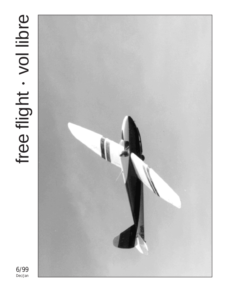# free flight . vol libre free flight vol libre



6/99 Dec/Jan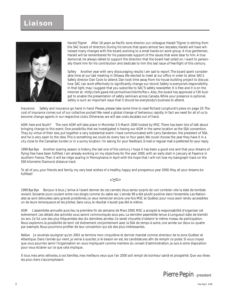## **Liaison**



*Harald Tilgner* After 18 years as Pacific zone director, our colleague Harald Tilgner is retiring from the SAC board of directors. During his tenure that spans almost two decades, Harald will have witnessed many changes with the board, evolving to a small hands-on work group. A true gentleman, Harald will be remembered for his passionate support of the issues that were dear to him. A true democrat, he always rallied to support the direction that the board had voted on. I want to personally thank him for his contribution and dedicate to him this last issue of *free flight* of this century.

*Safety* Another year with very discouraging results I am sad to report. The board spent considerable time at our last meeting in Ottawa. We elected to meet at our office in order to allow SAC's Safety director Dan Cook to attend. Dan took time away from his house building project to discuss how SAC can work effectively to significantly change our record. Safety is everyone's responsibility. In that light, may I suggest that you subscribe to SAC'S safety newsletter. It is free and it is on the Internet at: *<http://lark.gawd.mb.ca/mailman/listinfo/ftsc>*. Also, the board has approved a Y2K budget to enable the presentation of safety seminars across Canada. While your presence is optional, safety is such an important issue that it should be everybody's business to attend.

*Insurance* Safety and insurance go hand in hand. Please, please take some time to read Richard Longhurst's piece on page 20. The cost of insurance comes out of our collective pocket! We need a global change of behaviour, rapidly. In fact we need for all of us to become change agents in our respective clubs. Otherwise, we will see costs escalate out of hand.

*AGM: here and South?* The next AGM will take place in Montréal 3-5 March 2000 hosted by MSC. There has been lots of talk about bringing change to this event. One possibility that we investigated is having our AGM in the same location as the SSA convention. They, by virtue of their size, put together a very substantial event. I have communicated with Larry Sanderson, the president of SSA, and he is very open to the idea. This is something we could do every two or four years. We could choose the year they have it in a city close to the Canadian border or in a sunny location. I'm asking for your feedback. E-mail or regular mail is preferred for your reply.

*1999 Bye Bye* Another soaring season is history, the last one of the century. I hope it has been a good one and that your dreams of flying free have been fulfilled. I am already working on my objectives for the year 2000, with an early start in January at Fayence in southern France. Then it will be ridge soaring in Pennsylvania in April with the hope that I will not lose my barograph trace on the 500 kilometre Diamond distance track.

To all of you, your friends and family, my very best wishes of a healthy, happy and prosperous year 2000. May all your dreams be fulfilled!



*1999 Bye Bye* Bonjour à tous. J'arrive à l'avant dernier de ces carnets. Vous seriez surpris de voir combien vite la date de tombée revient. Soixante jours coulent entre nos doigts comme du sable sec. L'année 99 a été plutôt positive dans l'ensemble. Les Nationales se sont déroulées sans grands problèmes. Je veux remercier encore une fois MSC et Québec pour nous avoir rendu accessibles un de leurs remorqueurs et les pilotes. Sans vous, le résultat n'aurait pas été le même.

*AGM* L'assemblée annuelle aura lieu la première fin de semaine de Mars 2000. MSC a accepté la responsabilité d'organiser cet évènement. Les détails des activités vous seront communiqués sous peu. La dernière assemblée tenue à Longueuil date de bientôt six ans. Ce fut une des plus fréquentées des dix dernières années. Ce serait chouette d'obtenir le même niveau de participation. Nous explorons la possibilité de tenir cet évènement conjointement avec la SSA de temps à autre, une année sur deux ou quatre par exemple. Nous pourrions profiter de leur convention qui est des plus intéressantes.

*Relève* Je voudrais souligner qu'en 2001 se termine mon cinquième et dernier mandat comme directeur de la zone Québec et Atlantique. Dans l'année qui vient, je verrai à susciter, si le besoin en est, les candidatures afin de remplir ce poste. Si vous croyez que vous pourriez servir l'organisation en vous impliquant comme membre du conseil d'administration, je suis à votre disposition pour vous éclairer sur ce que cela implique.

À tous mes amis vélivoles, à vos familles, mes meilleurs veux que l'an 2000 soit rempli de bonheur santé et prospérité. Que vos rêves les plus chers s'accomplissent.

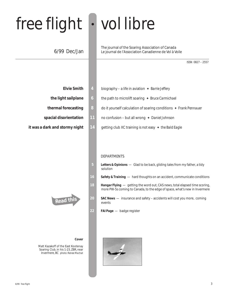# free flight • vol libre

## 6/99 Dec/Jan

The journal of the Soaring Association of Canada Le journal de l'Association Canadienne de Vol à Voile

| ISSN 0827-2557 |  |
|----------------|--|
|                |  |

- 
- 
- 
- 
- 



#### **Cover**

Matt Kazakoff of the East Kootenay Soaring Club, in his 1-23, ZBR, near Invermere, BC *photo: Renee Machat*

- **Elvie Smith 4** biography a life in aviation ✦ *Barrie Jeffery*
- **the light sailplane 6 6** the path to microlift soaring ♦ Bruce Carmichael
- **thermal forecasting 8** do it yourself calculation of soaring conditions ✦ *Frank Pennauer*
- **spacial disorientation 11** no confusion but all wrong ✦ *Daniel Johnson*
- **it was a dark and stormy night 14** getting club XC training is not easy ♦ the Bald Eagle

#### DEPARTMENTS

- **5** *Letters & Opinions*  Glad to be back, gliding tales from my father, a tidy solution
- **16** *Safety & Training*  hard thoughts on an accident, communicate conditions
- **18** *Hangar Flying*  getting the word out, CAS news, total elapsed time scoring, more PW-5s coming to Canada, to the edge of space, what's new in Invermere
- **20** *SAC News*  insurance and safety accidents will cost you more, coming events
- **22** *FAI Page*  badge register

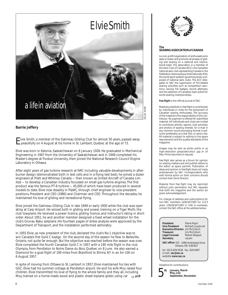

#### **Barrie Jeffery**

Elvie Smith, a member of the Gatineau Gliding Club for almost 50 years, passed away peacefully on 4 August at his home in St. Lambert, Quebec at the age of 73.

Elvie was born in Eatonia, Saskatchewan on 8 January 1926. He graduated in Mechanical Engineering in 1947 from the University of Saskatchewan and in 1949 completed his Master's degree at Purdue University, then joined the National Research Council Engine Laboratory in Ottawa.

After eight years of gas turbine research at NRC including valuable developments in afterburner design (demonstrated both in test cells and in a flying test bed), he joined a dozen engineers at Pratt and Whitney Canada — then known as United Aircraft of Canada Limited — to develop a Canadian industry focussed on small gas turbine engines. The first product was the famous PT-6 turbine — 45,000 of which have been produced in several models to date. Elvie rose steadily in P&WC, through chief engineer to vice-president positions, President and CEO (1980) and Chairman and CEO. Throughout the decades, he maintained his love of gliding and recreational flying.

Elvie joined the Gatineau Gliding Club in late 1949 or early 1950 while the club was operating at Carp Airport. He soloed both in gliding and power, training on a Tiger Moth, the club towplane. He received a power licence, gliding licence, and instructor's rating in short order. About 1951, he and another member designed a fixed wheel installation for the club's Grunau Baby sailplane. His fourteen pages of stress analysis were approved by the Department of Transport, and the installation performed admirably.

In 1955 Elvie, as new president of the club, declared the club's No.1 objective was to win Canada's first Gold C badge. On the second day of the season he flew to Belleville, Ontario, not quite far enough. But the objective was reached before the season was over. Elvie completed the fourth Canadian Gold C in 1957 with a 195 mile flight in the club Olympia, from Pendleton to Notre Dame du Bois, Québec on 8 June. He also earned a Diamond for a goal flight of 190 miles from Brantford to Elmira, NY in an Air-100 on 6 August 1957.

In spite of moving from Ottawa to St. Lambert in 1957, Elvie maintained his ties with GGC. Elvie had his summer cottage at Pendleton airport. He and his wife Moy raised four children. Elvie transmitted his love of flying to the whole family and they all, including Moy, trained on a home-made wood and plastic sheet biplane glider, using car  $\Rightarrow$  **p19** 



#### **The SOARING ASSOCIATION of CANADA**

is a non-profit organization of enthusiasts who seek to foster and promote all phases of gliding and soaring on a national and international basis. The association is a member of the Aero Club of Canada (ACC), the Canadian national aero club representing Canada in the Fédération Aéronautique Internationale (FAI), the world sport aviation governing body composed of national aero clubs. The ACC delegates to SAC the supervision of FAI-related soaring activities such as competition sanctions, issuing FAI badges, record attempts, and the selection of Canadian team pilots for world soaring championships.

*free flight* is the official journal of SAC.

Material published in *free flight* is contributed by individuals or clubs for the enjoyment of Canadian soaring enthusiasts. The accuracy of the material is the responsibility of the contributor. No payment is offered for submitted material. All individuals and clubs are invited to contribute articles, reports, club activities, and photos of soaring interest. An e-mail in any common word processing format is welcome (preferably as a text file), or send a fax. All material is subject to editing to the space requirements and the quality standards of the magazine.

Images may be sent as photo prints or as high-resolution greyscale/colour .jpg or .tif files. Prints returned on request.

*free flight* also serves as a forum for opinion on soaring matters and will publish letters to the editor as space permits. Publication of ideas and opinion in *free flight* does not imply endorsement by SAC. Correspondents who wish formal action on their concerns should contact their Zone Director.

Material from *free flight* may be reprinted without prior permission, but SAC requests that both the magazine and the author be given acknowledgement.

For change of address and subscriptions for non-SAC members (\$26/\$47/\$65 for 1/2/3 years, US\$26/\$47/\$65 in USA & overseas), contact the SAC office at the address below.

| President                              | Pierre Pepin      |
|----------------------------------------|-------------------|
| <b>Vice President</b>                  | Richard Longhurst |
| <b>Executive Director</b> Jim McCollum |                   |
| <b>Treasurer</b>                       | Jim McCollum      |
| <b>Legal Counsel</b>                   | Robert Wappel     |
| <b>Secretary</b>                       | vacant            |
|                                        |                   |

**Cant SAC office:** 101 – 1090 Ambleside Drive

Ottawa, ON K2B 8G7

tel: (613) 829-0536 fax: 829-9497 e-mail: *sac@sac.ca* website: *www.sac.ca*

Deadline for contributions: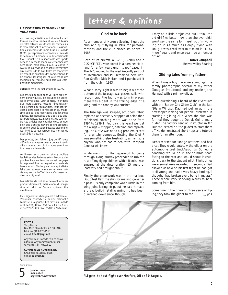#### **L'ASSOCIATION CANADIENNE DE VOL À VOILE**

est une organisation à but non lucratif formée d'enthousiastes et vouée à l'essor de cette activité sous toutes ses formes, sur le plan national et international. L'association est membre de l'Aéro-Club du Canada (ACC), qui représente le Canada au sein de la Fédération Aéronautique Internationale (FAI), laquelle est responsable des sports aériens à l'échelle mondiale et formée des aéro-clubs nationaux. L'ACC a confié à l'ACVV la supervision des activités vélivoles aux normes de la FAI, telles les tentatives de record, la sanction des compétitions, la délivrance des insignes, et la sélection des membres de l'équipe nationale aux compétitions mondiales.

#### **vol libre** est le journal officiel de l'ACVV.

Les articles publiés dans *vol libre* proviennent d'individus ou de groupes de vélivoles bienveillants. Leur contenu n'engage que leurs auteurs. Aucune rémunération n'est versée pour ces articles. Tous sont invités à participer à la réalisation du magazine, soit par des reportages, des échanges d'idées, des nouvelles des clubs, des photos pertinentes, etc. L'idéal est de soumettre ces articles par courrier électronique, bien que d'autres moyens soient acceptés. Ils seront publiés selon l'espace disponible, leur intérêt et leur respect des normes de qualité du magazine.

Des photos, des fichiers .jpg ou .tif haute définition et niveaux de gris peuvent servir d'illustrations. Les photos vous seront retournées sur demande.

*vol libre* sert aussi de forum et on y publiera les lettres des lecteurs selon l'espace disponible. Leur contenu ne saurait engager la responsabilité du magazine, ni celle de l'association. Toute personne qui désire faire des représentations sur un sujet précis auprès de l'ACVV devra s'adresser au directeur régional.

Les articles de *vol libre* peuvent être reproduits librement, mais le nom du magazine et celui de l'auteur doivent être mentionnés.

Pour signaler un changement d'adresse ou s'abonner, contacter le bureau national à l'adresse à la gauche. Les tarifs au Canada sont de 26\$, 47\$ ou 65\$ pour 1, 2 ou 3 ans, et de 26\$US, 47\$US ou 65\$US à l'extérieur.

#### **EDITOR**

Tony Burton Box 1916 Claresholm, AB T0L 0T0 tel & fax (403) 625-4563 e-mail *free-flt@agt.net*

Any service of Canada Post to above address. Any commercial courier service to 335 - 50 Ave W

**COMMERCIAL ADVERTISING** SAC office (613) 829-0536 e-mail *sac@sac.ca*

#### Date limite:



**janvier, mars mai, juillet septembre, novembre**

# letters & opinions

#### **Glad to be back**

As a member of Huronia Soaring, I quit the club and quit flying in 1984 for personal reasons, and the club closed its books in 1986.

Both of its aircraft, a 1-23 (CF-ZBR) and a 2-22 (CF-PLT), were stored in a barn near Midland for a few years until its roof caved in! The 1-23 moved to the west *(recently sold out of Invermere)*, and PLT remained here until Ron Seyffer, Dick Melton and I purchased it from the club in 1993.

What a sorry sight it was to begin with: the bottom of the fuselage was packed solid with racoon crap, the fabric was torn in places, there was a dent in the trailing edge of a wing, and the canopy was crushed.

The fuselage was scraped, scrubbed, fabric replaced as necessary, stripped of paint, then refinished. Nothing more was done from 1994 to 1999. In February this year, I went at the wings — stripping, patching and repainting. The C of A was not a big problem except for a glitchy compass. Getting the C of R was something else, frustrating, as I am sure anyone who has had to deal with Transport Canada will know.

While waiting for the paperwork to come through, Doug Murray proceeded to rub the rust off my flying abilities with a Blanik. I was amazed at the deterioration 15 years of inactivity had brought about.

Finally the paperwork was in the mailbox. Doug test flew the ship for me and gave her a pass. His only complaint was a rattle in the wing joint fairing strip, but he said it made a great built-in stall warning! It has been quietened down since, though.

I may be a little prejudiced but I think the old girl flies better now than she ever did. I won't say the same for myself, but I'm working on it. As much as I enjoy flying with Doug, it was a real treat to take off in PLT by myself again, and once again be a member of SAC.

#### **Daws Campbell** Beaver Valley Soaring

#### **Gliding tales from my father**

When I was a boy there were amongst the family photographs several of my father (Douglas Proudfoot) and my uncle (John Hannay) with a primary glider.

Upon questioning, I heard of their ventures with the "Border City Glider Club" in the late '20s in Windsor. Dad had put an ad in the newspaper looking for people interested in starting a gliding club. When the club was formed they bought a *Detroit Gull* primary glider. The factory sent an instructor (a Mr. Duncan, seated on the glider) to start them off. He demonstrated short hops and tutored them for an afternoon.

Father worked for "Dodge Brothers" and had a car. They would autotow the glider on the automobile test track/grounds. Someone coaching would be in the "rumble seat" facing to the rear and would shout instructions back to the student pilot. Flight times were sometimes recorded in seconds. Dad allowed as how on his first flight he had got it all wrong and had a very heavy landing. "I thought I had broken every bone in my ass." These where very shocking words to hear coming from him.

Sometime in their two or three years of flying, they took the glider to the  $\Rightarrow$  **p17** 



**PLT gets its test flight over Meaford, ON on 30 August.**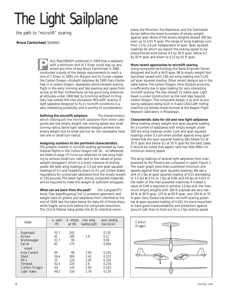# *The Light Sailplane The Light Sailplane*

the path to "microlift" soaring

#### **Bruce Carmichael**, *SOARING*

AUL MacCREADY predicted in 1959 that a sailplane with a minimum sink of 1 ft/sec could stay up anywhere any time of day. Bruce Carmichael in 1962 **PORTADY** predicted in 1959 that a sailplan with a minimum sink of 1 ft/sec could stay up any where any time of day. Bruce Carmichael in 1962 conducted a study of the design requirements to reach a sink of 1 ft/sec. In 1993, Jim Maupin and Irv Culver created the *Carbon Dragon* ultralight sailplane. By 1995 Gary Osoba had, in a *Carbon Dragon*, repeatedly demonstrated soaring flight in the early morning and late evening and saves from as low as 50 feet. Furthermore, he has gone long distances at altitudes under 1000 feet by S-turning without circling. Gary has named this new procedure "Microlift" soaring. A light sailplane designed to fly in microlift conditions is a very interesting possibility, and is worthy of consideration.

**Defining the microlift sailplane** The characteristics which distinguish the microlift sailplane from other categories are: low empty weight, low sinking speed and small turning radius. Some light sailplane designs achieve low empty weight due to small size but do not necessarily have low sink or small turn radius.

#### **Assigning numbers to the pertinent characteristics**

The present interest in microlift soaring generated by Gary Osoba's flights in the *Carbon Dragon* (ref 18 – *all references are listed on page 17)* turns our attention to low wing loading to achieve small turn radii, and to low values of gross weight / wingspan2 which is a direct measure of sinking speed. We seek wing loadings of 2.5 psf and span squared loadings of 0.2 and hopefully down to 0.1 psf. United States regulations for unlicensed sailplanes limit the empty weight to 155 pounds. The latest light, strong composite materials will be required to meet this weight at sufficient wingspan.

What can we learn from the past? Von Langsdorff's book, "Das Segelflugzeug" (ref 1), presents geometric and weight data on gliders and sailplanes from Lilienthal to the end of 1929. See the table below for data. All of these ships, while fragile, were built before the composite revolution. The 23.5 lb *Pelzner* hang glider, the 41 lb Lilienthal mono-

| Glider                                                                              | a - span                               | b - empty                             | max wing                                    | span loading                                       |
|-------------------------------------------------------------------------------------|----------------------------------------|---------------------------------------|---------------------------------------------|----------------------------------------------------|
|                                                                                     | (ft)                                   | $wt$ (lb)                             | loading (psf)                               | max(b/a <sup>2</sup> )                             |
| Espenlaub                                                                           | 55.7                                   | 242                                   | 1.9                                         | 0.135                                              |
| Konsul                                                                              | 61                                     | 285                                   |                                             | 0.12                                               |
| Weltensegler                                                                        | 52.7                                   | 95                                    |                                             | 0.09                                               |
| Farrar                                                                              | 61                                     | 175                                   |                                             | 0.094                                              |
| recent<br>Avia Canard<br>Silent<br>$RP-1$<br>Tempest<br>Carbon Dragon<br>Light Hawk | 44<br>39.4<br>25<br>42.5<br>44<br>49.2 | 98<br>369<br>116<br>220<br>145<br>150 | 2.85<br>3.42<br>2.05<br>2.6<br>2.05<br>2.78 | 0.145<br>0.237<br>0.163<br>0.216<br>0.163<br>0.135 |

plane, the *München*, the *Espenlaub,* and the Darmstadt *Konsul* define the lower boundary of empty weight against span. None of the empty weights exceed 300 lbs, even up to a 61 ft span. The range of wing loadings runs from 1.3 to 2.6 psf independent of span. Span squared loadings (to which we expect the sinking speed to be proportional) were below 0.3 by 36 ft span, below 0.2 by 45 ft span and down to 0.13 by 61 ft span.

#### **More recent approaches to microlift soaring**

Using composite technology, the Swiss Engineer Farner designed and built a 44 ft span, 98 lb empty weight foot launched canard with 2.85 psf wing loading and 0.145 psf span squared loading. Other recent designs are in the table below. The *Carbon Dragon*, from Osoba's accounts, is sufficiently low in span loading for very interesting microlift soaring. The Dan Howell 15 metre span *Light Hawk* is under construction as the next step beyond *Carbon Dragon*. This composite design is as slick as any racing sailplane, being built in 5-axis CAD/CAM milling machine cut female molds formed at the Raspet Flight Research laboratory in Mississippi.

#### **Characteristic data for old and new light sailplanes**

Wing loading, empty weight, and span squared loading for a number of sailplanes with empty weight under 300 lbs, wing loadings under 3 psf, and span squared loadings under 0.3 psf when plotted against wing span shows that the span squared loading falls below 0.2 at 35 ft span and below 0.1 at 55 ft span for the best cases. It should be noted that aspect ratio has little effect on minimum sinking speed.

The wing loadings of several light sailplanes from manpowered to the *Phoenix* are compared in upper Figure 1. The lower graph plots their published minimum sink speeds against their span squared loadings. We see a sink of 2 fps at span squared loading of 0.21 decreasing to 1.5 fps at 0.14, to 1 fps at 0.08, and 0.6 fps at 0.014 in the realm of the man-powered machines. If indeed a value of 0.08 is required to achieve 1.0 fps sink, the maximum empty weights with 160 lb payload are very low: 40 lb at 50 ft span, 125 lb at 60 ft span and 250 lb at 70 ft span. Gary Osoba has shown microlift soaring potential at span squared loading of 0.163. It's more important to have good maneuverability and protection against ground rash than to hold out for a 1 fps sinking speed.

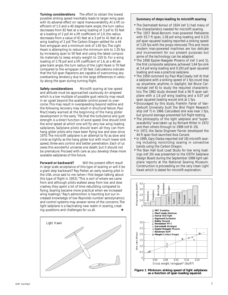**Turning considerations** The effort to obtain the lowest possible sinking speed inevitably leads to larger wing span with its adverse effect on rapid maneuverability. At a lift coefficient of 1.5 and a 40 degree bank angle, the turn radius decreases from 82 feet at a wing loading of 3 psf to 55 feet at a loading of 2 psf. At a lift coefficient of 2.0, the radius decreases from a value of 61 feet at a 3 psf to 41 feet at a wing loading of 2 psf. The *Carbon Dragon* settled for a 44 foot wingspan and a minimum sink of 1.65 fps. The *Light Hawk* is attempting to reduce the minimum sink to 1.35 fps by increasing span to 50 feet and using the latest composite materials to keep empty weight to 150 lb. For a wing loading of 2.78 psf and a lift coefficient of 1.6, at a 40 degree bank angle, the turn radius of the *Light Hawk* is 70 feet compared to the wingspan of 50 feet. Calculations indicate that the full span flaperons are capable of overcoming any overbanking tendency due to the large differences in velocity along the span during turning flight.

**Safety considerations** Microlift soaring at low speed and altitude must be approached cautiously. An airspeed which is a low multiple of possible gust velocity may result in an upset beyond the available control power to overcome. This may result in overspeeding beyond redline and the following recovery may result in structural failure. Paul MacCready warned at the beginning of the hang glider development in the early '70s that the turbulence and gust strength is a direct function of wind speed. One should limit the wind speed at which one will fly very low wing loading sailplanes. Sailplane pilots should learn all they can from hang glider pilots who have been flying low and slow since 1970. The microlift sailplane is an attempt to fly as slow and circle as tightly as the hang glider but with much lower sink speed, three-axis control and better penetration. Each of us owes this wonderful universe one death, but it should not be premature. Proceed with care as you develop these more soarable sailplanes of the future.

**Forward or backward?** Will the present effort result in large scale acceptance of this type of soaring or will it be a giant step backward? Ray Parker, an early soaring pilot in the USA, once said to me (when I first began talking about this type of flight in 1953), "This is sort of where we came from and although pilots walked away from low and slow crashes, they spent a lot of time rebuilding compared to flying. Soaring became more practical when we increased wing loadings." Ray's admonition is haunting but our increased knowledge of low Reynolds number aerodynamics and control systems may answer some of the concerns. The light sailplane is a fascinating new realm in soaring, creating questions and challenges for us all. ❖



#### **Summary of steps leading to microlift soaring**

- The Darmstadt *Konsul* of 1924 (ref 1) had many of the characteristics needed for microlift soaring.
- The 1937 Bossi-Bonomi man-powered *Pedialente* with 55.7 ft span, 1.58 psf wing loading and 0.115 psf span squared loading reported a sinking speed of 1.05 fps with the props removed. This and more modern man-powered machines are too delicate and inconvenient for our present purposes but some of the technology can be adapted.
- The 1958 Eppler-Naegele *Phoenix* of (ref 3 and 5), the first composite sailplane, achieved 1.64 fps sink at 3.4 psf wing loading and 0.193 psf span squared loading and was a practical sailplane.
- The 1959 comment by Paul MacCready (ref 4) that a sailplane with a sinking speed of 1 fps could stay up anywhere, anytime, in daylight, led Bruce Carmichael (ref 6) to study the required characteristics. The 1962 study showed that a 56 ft span sailplane with a 1.6 psf wing loading and a 0.07 psf span squared loading would sink at 1 fps.
- Encouraged by this study, Franklin Farrar of Vanderbuilt University built the Bird Flight Research ship (ref 7) in 1966. Calculated sink was near 1 fps, but ground damage prevented full flight testing.
- The philosophy of the light sailplane and "supersoarability" was taken up by Richard Miller in 1972 and then others through to 1998 (ref 8–19).
- In 1972, the Swiss Engineer Farner developed the 44 ft span foot-launched *Avia Canard*.
- In 1995, Gary Osoba reported (ref 18) microlift soaring including noncircling soaring in convective bands using the *Carbon Dragon*.
- The Stan Hall Gust Load Study for low wing loadings (ref 20) was presented to the OSTlV Sailplane Design Board during the September 1998 light sailplane reports at the National Soaring Museum. Construction is proceeding on the very clean *Light Hawk* which is slated for microlift exploration.

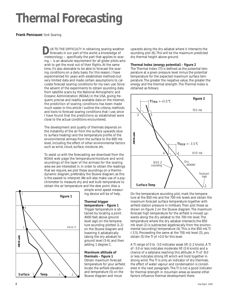# *Thermal Forecasting*

#### **Frank Pennauer**, York Soaring

*D*UE TO THE DIFFICULTY in obtaining soaring weather forecasts in our part of the world, a knowledge of meteorology — specifically the part that applies to soaring — is an absolute requirement for all glider pilots who wish to get the most out of their flights. At the same time, it's also desirable to be able to forecast the soaring conditions on a daily basis. For this reason, I have experimented for years with established methods but very limited data and made certain assumptions to calculate forecast soaring conditions for my own use. Since the advent of the experiments to obtain sounding data from satellite scans by the National Atmospheric and Oceanic Administration (NOAA) in the USA, giving frequent, precise and readily available data on the Internet, the prediction of soaring conditions has been made much easier. In this article I outline the criteria, methods and tools to forecast soaring conditions that I use, since I have found that the predictions so established were close to the actual conditions encountered.

The development and quality of thermals depends on the instability of the air from the surface upwards (due to surface heating) and the temperature profile of the environmental airmass from the surface to the 600 mb level, including the effect of other environmental factors such as wind, cloud, surface, moisture, etc.

To assist us with the forecasting, we download from the NOAA web page the temperature/moisture and wind soundings of the layer of the airmass for the soaring area we are interested in. In order to obtain the readings that we require, we plot these soundings on a thermodynamic diagram, preferably the Stueve diagram, as this is the easiest to interpret. We will also make use of a psychrometer to measure dry and wet bulb temperature to obtain the air temperature and the dew point. Also a



simple wind speed measuring device will be of help.

#### **Thermal trigger temperature – figure 1**

Trigger temperature is obtained by locating a point 4000 feet above ground level (agl) on the temperature sounding plotted (1-2) on the Stueve diagram and lowering it adiabatically (along the dry adiabat) to ground level (3-4), and then adding 1 degree C.

#### **Maximum altitude of thermals – figure 1** Obtain maximum forecast temperature for your airfield, locate the airfield elevation and temperature (5) on the

upwards along the dry adiabat where it intersects the sounding plot (6). This will be the maximum predicted dry thermal height above ground.

#### **Thermal Index (energy potential) – figure 2**

The Thermal Index (TI) is defined as the potential temperature at a given pressure level minus the potential temperature for the expected maximum surface temperature. The greater the negative value, the greater the energy and the thermal strength. The Thermal Index is obtained as follows:



ture at the 850 mb and the 700 mb levels and obtain the maximum forecast surface temperature together with airfield station pressure in millibars. Then plot these as shown on figure 2 on the Stueve diagram. The maximum forecast high temperature for the airfield is moved upwards along the dry adiabat to the 700 mb level. The temperature where the dry adiabat intersects the 850 mb level (2) is subtracted algebraically from the environmental (sounding) temperature (4). This is the 850 mb TI (-3.5). Proceeding the same at the 700 mb level (3), you obtain (5) the TI of +3.0 for this level.

A TI range of 0 to -3.0 indicates weak lift (1-2 knots). A TI of -3.0 or less indicates moderate lift (2-6 knots) and a chance of a sailplane reaching this altitude. A TI of -8.0 or less indicates strong lift which will hold together in strong wind. The TI is only an indicator of dry thermals, the effect of water vapour and condensation is considered in the next paragraph. The TI is not a good indicator for thermal strength in mountain areas as several other factors influence thermal development there.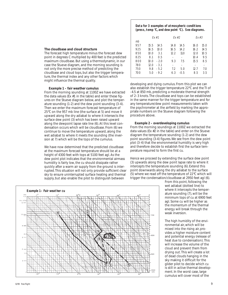#### **The cloudbase and cloud structure**

The forecast high temperature minus the forecast dew point in degrees C multiplied by 400 feet is the predicted maximum cloudbase. But using a thermodynamic, in our case the Stueve diagram, and the morning sounding is not only the more precise method of predicting the cloudbase and cloud tops, but also the trigger temperature, the thermal index and any other factors which might influence the thermal quality.

#### *Example 1 – fair weather cumulus*

From the morning sounding at 1100Z we have extracted the data values (Ex #1 in the table) and enter these figures on the Stueve diagram below, and plot the temperature sounding (1-2) and the dew point sounding (3-4). Then we enter the maximum forecast temperature of 25°C on the 957 mb line (the surface at 5) and move it upward along the dry adiabat to where it intersects the surface dew point (3) which has been raised upward along the dewpoint lapse rate line (6). At this level condensation occurs which will be cloudbase. From (6) we continue to move the temperature upward, along the wet adiabat to where it meets the sounding (the inversion at 7) which will be the tops of the cumulus.

We have now determined that the predicted cloudbase at the maximum forecast temperature should be at a height of 4300 feet with tops at 5100 feet agl. As the dew point plot indicates that the environmental airmass humidity is fairly low, the cu should dissipate rather quickly after a warm air supply from the ground is interrupted. This situation will not only provide sufficient clear sky to ensure uninterrupted surface heating and thermal supply, but also enable the pilot to distinguish between



#### **Data for 3 examples of atmospheric conditions (press, temp** °**C, and dew point** °**C). See diagrams.**

|     | Fx #1                | Fx #2           | Fx #3       |
|-----|----------------------|-----------------|-------------|
| mb  |                      |                 |             |
| 957 | 15.5                 | 14.8            | 15.0        |
|     | 14.5                 | 14.5            | 16.0        |
| 925 | 16.5                 | 16.5            | 16.2        |
|     | 10.0                 | 142             | 14.5        |
| 850 | 31                   | 12 2            | 10.5        |
|     | 10 O                 | 11 <sub>O</sub> | 120         |
| 825 | Ω5<br>81             |                 | 9.5<br>10.4 |
| 800 | $-2.0$               | 9.3             | 85          |
|     | 10 O                 | 75              | 15.5        |
| 780 | 12 $\Omega$<br>$-31$ |                 |             |
| 750 | 9.8                  | 72              | 12.7        |
|     | $-5.2$               | 50              | 70          |
| 700 | $-92$                | 63              | 35          |
|     | 50                   | -0.5            | 8.5         |

developing and dying cumulus. From this plot we can also establish the trigger temperature 22°C and the TI of -4.5 at 850 mb, predicting a moderate thermal strength of 2–3 knots. The cloudbase and tops can be established in the same manner for the trigger temperature and for any temperature/dew point measurements taken with the psychrometer at the airfield by marking the appropriate numbers on the Stueve diagram following the procedure above.

#### *Example 2 – overdeveloping cumulus*

From the morning soundings at 1100Z we extracted the data values (Ex  $#2$  in the table) and enter on the Stueve diagram the temperature sounding (1-2) and the dew point sounding (3-4) figures. We see from the dew point plot (3-4) that the environmental humidity is very high and therefore decide to establish first the surface temperature required to form the first cu.

Hence we proceed by extending the surface dew point (3) upwards along the dew point lapse rate to where it intercepts the temperature sounding (6). Extend this point downwards along the dry adiabat to the surface (5) where we read off the temperature of 22°C which will trigger the condensation/cloudbase at 2950 feet agl (6).

> From this point, following the wet adiabat (dotted line) to where it intercepts the temperature sounding (7), will be the minimum tops of cu at 6900 feet agl. Some cu will be higher as the momentum of the thermal energy will break through the weak inversion.

The high humidity of the environmental air, which will be mixed into the rising air, provides a higher moisture content and potential energy (release of heat due to condensation). This will increase the volume of the cloud and prevent them from drying out. This will create a lot of dead clouds hanging in the sky making it difficult for the glider pilot to decide which cu is still in active thermal development. In the worst case, large cumulus will cover most of the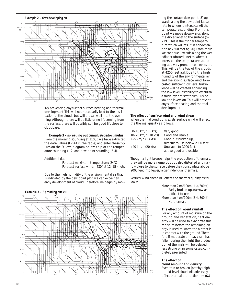

sky preventing any further surface heating and thermal development. This will not necessarily lead to the dissipation of the clouds but will prevail well into the evening. Although there will be little or no lift coming from the surface, there will possibly still be good lift close to cloudbase.

#### *Example 3 – spreading out cumulus/stratocumulus*

From the morning sounding at 1100Z we have extracted the data values (Ex #3 in the table) and enter these figures on the Stueve diagram below, to plot the temperature sounding (1-2) and dew point sounding (3-4).

#### Additional data:

Forecast maximum temperature: 24°C Forecast surface wind: 280° at 12–15 knots.

Due to the high humidity of the environmental air that is indicated by the dew point plot, we can expect an early development of cloud. Therefore we begin by mov-



#### **The effect of surface wind and wind shear**

When thermal conditions exists, surface wind will effect the thermal quality as follows:

| 0-10 km/h (5 kts)   | Very good                        |
|---------------------|----------------------------------|
| 10-20 km/h (10 kts) | Good and usable                  |
| $+25$ km/h (13 kts) | Good but broken up,              |
|                     | difficult to use below 2000 feet |
| $+40$ km/h (20 kts) | Unusable to 3000 feet.           |
|                     | above good and usable            |

Though a light breeze helps the production of thermals, they will be more numerous but also distorted and narrow close to the surface before they consolidate above 2000 feet into fewer, larger individual thermals.

Vertical wind shear will effect the thermal quality as follows:

> *More than 2km/100m (1 kt/300 ft)* Badly broken up, narrow and difficult to use *More than 4km/100m (2 kt/300 ft)* No thermals

#### **The effect of recent rainfall**

For any amount of moisture on the ground and vegetation, heat energy will be used to evaporate this moisture before the remaining energy is used to warm the air that is in contact with the ground. Therefore if moderate or heavy rain has fallen during the night the production of thermals will be delayed, less strong or, in some cases, completely prevented.

#### **The effect of**

**cloud amount and density** Even thin or broken (patchy) high or mid-level cloud will adversely effect thermal production ➯ **p17**

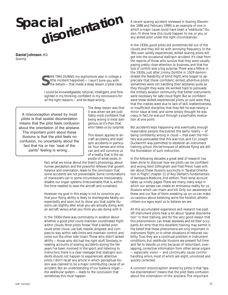# **Spacial disorientatio<sup>n</sup>**

**Daniel Johnson**, MD *Soaring*

> OME TIME DURING my sophomore year in college a<br>little incident happened — I won't bore you with<br>the details — that made a deep lesson crystal clear little incident happened — I won't bore you with the details — that made a deep lesson crystal clear:

*I could be knowledgeable, rational, intelligent, and foresighted in my thinking; confident in my conclusions for all the right reasons — and be dead wrong.*

A misconception shared by most pilots is that spatial disorientation means that the pilot feels confusion about the orientation of the airplane. The important point about these illusions is that the pilot feels no confusion, no uncertainty about the fact that his or her "seat of the pants" feeling is wrong...

The deep lesson was that it was when we are justifiably most confident that being wrong is most dangerous, as it's then that error takes us by surprise.

This lesson applies to aircraft accidents, and stall/ spin accidents in particular. Your senses and mine can and will convince us of a reality that is the opposite of what exists. In

fact, what we know about the brain's physiology, about human perception and the powerful reflexes that govern balance and orientation, leads to the conclusion that some accidents are *not* preventable. Some combinations of maneuvers can in some circumstances irrecoverably disable our organ systems (irrecoverable, that is, within the time needed to save the aircraft and ourselves).

However my goal in this essay is not to convince you that your flying ability is likely to disintegrate fatally, unexpectedly and soon, but to show you that subtle illusions can slightly alter what you are actually doing with an aircraft versus what you think you are doing with it.

In the 1930s there was controversy in aviation about whether a good pilot could maintain coordinated flight within clouds. Most pilots "knew" that a skilled pilot could enter cloud, use ball, needle, airspeed, and compass to stay within safe limits and maintain control, and come out the other side intact. Those who didn't lacked ability — those who did had the right stuff. Similarly, in reading accounts of soaring accidents during the ten years I've been involved in the sport, and listening to instructors, there is a clear message that stall/spin accidents should not happen to experienced, attentive pilots. I don't recall any article in which perceptual illusion was claimed to be a major contributing cause of an accident. But an understanding of our balance organ the vestibular system — leads to the conclusion that sometimes this must happen.

A recent soaring accident reviewed in *Soaring* (December 1998 and February 1999) is an example of one in which a major cause could have been a "vestibular" illusion. I'll show how this could happen to me, or you, or any skilled pilot under the right circumstances.

In the 1930s, good pilots did sometimes fall out of the clouds, and they still do with annoying frequency. In the '90s, even solidly experienced, skilled soaring pilots still get into the occasional stall/spin accident. It's clear from the reports of those who survive that they were usually paying pretty close attention to business, and that the loss of control was a big surprise. There was a fellow in the 1930s, just after Jimmy Dolittle in 1929 demonstrated the feasibility of blind flight, who began to appreciate that these confident, skilled, attentive pilots sometimes were not handling their airplanes quite as they thought they were. He worked hard to persuade the military aviation community that better instruments were necessary for safe cloud flight. But so confident were these skilled, experienced pilots, so sure were they that the crashes were due to lack of skill, inattentiveness, or insufficient discipline, that they felt he was raising a minor issue at best, and some simply thought he was crazy. In fact, he was put through a psychiatric evaluation at one point.

But accidents kept happening and, eventually, enough reasonable people discovered the awful reality — of being confidently wrong in cloud — that even the military was persuaded that this was true, and Col. Joseph Duckworth was permitted to establish an instrument training school. His techniques of attitude flying are still the foundation of such instruction.

In the following decades a great deal of research has been done to discover how we pilots can be confident and wrong. Kent Gillingham and Fred Previc have written about these illusions succinctly in "Spatial Orientation in Flight", chapter 11 of Roy DeHart's *Fundamentals of Aerospace Medicine*, 2nd edition. Their terse account takes up ninety pages. There are many, many ways in which our senses can create an erroneous reality for us, illusions which can maim and kill. Only our awareness of these and our fear of them sneaking up on us can make us cautious about believing we're the hotshot, athletic critters our egos want us to believe we are.

All this accumulated experience and research has paid off. Instrument pilots hear a lot about "spatial disorientation" in their training, and for the very good reason that this phenomenon can break airplanes and kill their occupants. An error that this excellent training may permit is the belief that these phenomena are only important in instrument flight, or in other situations of reduced visibility. True, they are a continual problem in instrument conditions, but vestibular illusions are present full time and fail to delude us only because of redundant, overlapping, corrective information from other sense organs — especially vision — and continually cause control handling errors, most of which are slight, unnoticed and quickly corrected.

A common misconception shared by pilots is that "spatial disorientation" means that the pilot feels confusion about the orientation of the airplane. The important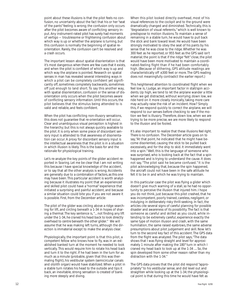point about these illusions is that the pilot feels no confusion, no uncertainty about the fact that his or her "seat of the pants" feeling is wrong; the confusion only occurs after the pilot becomes aware of conflicting sensory input. Any instrument-rated pilot has surely had moments of vertigo — troublesome or frightening confusion about which way is up or whether the airplane is turning, but this confusion is normally the beginning of spatial reorientation. Rarely, the confusion can't be resolved and a crash occurs.

The important lesson about spatial disorientation is that it's most dangerous when there are few cues that it exists, and when the pilot is confident of which way is up and which way the airplane is pointed. Research on spatial senses in man has revealed several interesting ways in which a pilot can be completely confident yet significantly off, sometimes completely backwards, sometimes off just enough to land short. To say this another way, with spatial disorientation, confusion or the sense of disorientation only occurs when the pilot becomes aware of conflicting sensory information. Until this occurs, the pilot believes that the stimulus being attended to is valid and reliable, and feels confident.

When the pilot has conflicting non-illusory sensations, this does not guarantee that re-orientation will occur. Clear and unambiguous visual perception is highest in the hierarchy; but this is not always quickly available to the pilot. It is only when some piece of discordant sensory input is attended to that awareness of disorientation can occur. A proxy for discordant sensory input is the intellectual awareness that the pilot is in a situation in which illusion is likely. This is the basis for and the rationale for physiological training.

Let's re-analyze the key points of the glider accident reported in *Soaring*. Let me be clear that I am not writing this because I have special knowledge of the accident, or to say that all the other analysis is wrong. Accidents are generally due to a combination of factors, as this one may have been. This particular accident is worth analyzing because it illustrates my point that an experienced and skilled pilot could have a "normal" experience that initiated a surprising and painful accident, and because a similar situation could bite you if you are not aware it is possible. First, from the December article:

The pilot of the glider was circling above a ridge searching for lift, and circling beneath a 1-34 in hopes of sharing a thermal. The key sentence is, *"... not finding any lift under the 1-34, he craned his head back to look directly overhead to centre beneath the other glider."* We will assume that he was making left turns, although the direction is immaterial except to make the analysis clear.

Physiologically, the important point is that this pilot, a competent fellow who knows how to fly, was in an established banked turn at the moment he needed to look vertically. This would require him to rotate his head back and turn it to the right. If he had been in the turn for as much as a minute (probable, given that this was thermaling flight), his vestibular system (semicircular canals and otolith organ) would have stabilized. When a pilot in a stable turn rotates his head to the outside and tips it back, an inevitable, strong sensation is created of banking more steeply and diving.

When this pilot looked directly overhead, most of his visual references to the cockpit and to the ground were dramatically changed and diminished. Technically, this is "degradation of visual referents," which is well known to predispose to motion illusions. To maintain a sense of remaining in a stable turn, he would have to pull back the stick and bank toward level. He would have been strongly motivated to obey the seat of his pants by his sense that he was close to the ridge. Whether he was 300 feet as he reported, or 955 feet as the GPS said isn't material; the point is that if the ridge "felt" close, the pilot would have been more motivated to maintain a coordinated-feeling flight than if he had been comfortably high. (Because of dithering, GPS altitude readings are characteristically off  $\pm 300$  feet or more. The GPS reading does not meaningfully contradict the earlier report.)

This heightened attention to coordinated flight when we feel low is, I judge, an important factor in stall/spin accidents. Up high, we tend to let the airplane wander a little when we get distracted, without worrying; down low, we ride herd on it more closely. Ironically, taking more care may actually raise the risk of an incident. How? Simply this, if we respond quickly to correct the airplane, we will respond to our senses before checking to see if the motion we feel is illusory. Therefore, down low, when we are trying to be more precise, we are more likely to respond to the illusion and be fooled.

It's also important to realize that these illusions feel right. *There is no confusion.* The December article goes on to say, "At that point, he indicated that he might have become disoriented, causing the stick to be pulled back excessively, and for the ship to skid. It immediately went into a spin." Well, this is the language of someone who was surprised, who is looking back at the fact that a spin happened and is trying to understand the cause. It does not say, "The pilot said he became confused." It is the pilot acknowledging that, because the spin happened, the aircraft could not have been in the safe attitude he felt it to be in and which he was trying to maintain.

In this particular case the pilot was flying a glider which doesn't give much warning of a stall, so he had no opportunity to perceive the illusion that injured him. I hope you do not think, just because this pilot crashed, that he was incompetent, poorly trained, careless, negligent, or indulging in deliberately risky thrill-seeking. In fact, the articles cite several signs of careful planning for possible disaster and awareness of its possibility. The fact is that someone as careful and skilled as you could, while intending to be extremely careful, experience exactly the same type of motion illusion and crash, with the same humiliation, the same raised eyebrows, the same adverse presumptions about pilot judgement and skill. Now let's turn to the second key fact of this accident. The GPS data from the flight was analyzed. The pilot says, "The data shows that I was flying straight and level for approximately 1 minute after making the 180° turn in which I craned my head back to look up at the 1-34 .... So, the spin developed from some other reason rather than my distraction with the 1-34."

The GPS data proves that the pilot did respond "appropriately" to his vestibular sense, and did level out and straighten while looking up at the 1-34; the physiological point is that during this time he would have *felt* as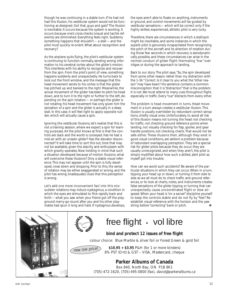though he was continuing in a stable turn. If he had *not* had this illusion, his vestibular system would not be functioning as designed. Got that, guys and gals? The illusion is inevitable. It occurs because the system is working. It occurs because one's cross-checks (visual and tactile referents) are diminished. Everything feels right. Suddenly something happens that shouldn't — a stall — and the pilot must quickly re-orient. What about recognition and recovery?

As the airplane quits flying, the pilot's vestibular system is continuing to function normally, sending wrong information to his cerebral cortex about the glider's motion. This interferes with his ability to recognize and recover from the spin. From the pilot's point of view, something happens suddenly and unexpectedly. He turns back to look out the front window, and the message that this head movement sends to his cortex is that the glider has pitched up and banked to the right. Meanwhile, the actual movement of the glider has been to pitch his head down, and to turn it to the right or further to the left, depending on the spin rotation — or perhaps the glider is not rotating; his head movement has only given him the sensation of a spin and the glider is actually in a deep stall. In this case, it will feel right to apply opposite rudder, which will actually cause a spin.

Ignoring the vestibular illusions, let's realize that this is not a training session, where we expect a spin for learning purposes. All the pilot knows at first is that the controls are slack and the world is cockeyed. Has he had a mid-air with an unseen glider? Has the elevator disconnected? It will take time to sort this out, time that may not be available, given the alacrity and enthusiasm with which gravity operates. Now holding in mind that such a situation developed because of motion illusions, what will overcome these illusions? Only a stable visual reference. This may not appear until the spin is fully developed, nose down and dropping. Prior to this, the sense of rotation may be either exaggerated or wrong, and the pilot has wrong (inadequate) clues that this perception is wrong.

Let's add one more inconvenient fact into this mix: sudden rotations may induce *nystagmus*, a condition in which the eyes are stimulated to flick rapidly back and forth — what you saw when your friend got off the playground merry-go-round after you and his other playmates had spun it long and hard. If nystagmus develops, the eyes aren't able to fixate on anything, instruments or ground, and control movements will be guided by vestibular sensations — which will be correct only if the highly skilled, experienced, athletic pilot is very lucky.

Therefore, there are circumstances in which a stall/spin might be inevitable, and some instances in which the superb pilot is genuinely incapacitated from recognizing the pitch of the aircraft and its direction of rotation during those few seconds in which recovery is aerodynamically possible, and these circumstances can arise in the *normal* conduct of glider flight: thermaling "low" over ridges or during the approach to landing.

Back to our story. The pilot says, "So, the spin developed from some other reason rather than my distraction with the 1-34." Correct. Is it clear to you what the "other reason" may have been? His sentence contains a common misconception: that it is "distraction" that is the problem. It is not. We must attend to many cues throughout flight, especially in traffic. Every "cue" distracts from every other.

The problem is head movement in turns. Head movement in a turn always creates a vestibular illusion. This illusion is usually overridden by redundant correct sensations, chiefly visual ones. Unfortunately, to avoid all risk of this illusion means not turning the head: not checking for traffic, not checking ground reference points when landing, not visually checking for flap, spoiler, and gear handle positions, not checking charts. That would not be safe either. These illusions then, although they exist in good visual conditions, are seldom a problem because of redundant overlapping perception. They are a special risk for glider pilots because they do occur, they are usually unrecognized, and when they aren't, the pilot is simply mystified about how such a skilled, alert pilot as myself got into trouble.

How can we avoid such accidents? Be aware of the particular situations in which they can occur. When in a turn, tipping your head up or down, or turning it from side to side as we all must do to check traffic and ground references, or to look at charts, notes, and instruments creates false sensations of the glider tipping or turning that can unexpectedly cause uncoordinated flight or slow airspeed. When your head is "on a swivel" discipline yourself to keep the controls stable and do not fly by "feel". Reestablish visual reference with the horizon and the yaw string before "correcting" bank or pitch.



free flight • vol libre

## **bind and protect 12 issues of free flight**

colour choice: Blue Marble & silver foil or Forest Green & gold foil

new low price!

**\$10.95 + \$3.95** P&H (for 1 or more binders) 8% PST (Ont) & GST – VISA, Mastercard, cheque

#### **Parker Albums of Canada**

Box 840, North Bay, ON P1B 8K1 (705) 472-1620, (705) 495-0800 (fax), david@parkeralbums.ca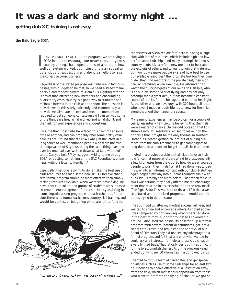# **It was a dark and stormy night ...**

**getting club XC training is not easy**

**the Bald Eagle**, SOSA

HAVE PREVIOUSLY ALLUDED to programs we are trying at SOSA in order to encourage our newer pilots to try crosscountry soaring. I had hoped to present a report on how HAVE PREVIOUSLY ALLUDED to programs we are trying SOSA in order to encourage our newer pilots to try crose country soaring. I had hoped to present a report on how well our system worked, but instead this is an appeal to other clubs for suggestions, and also it is an effort to raise the collective consciousness.

Regardless of the stated purpose, our clubs are in fact businesses, with budgets to be met, so we need a steady membership and modest growth to sustain us. Fighting attrition is easier than attracting new members, and encouraging pilots to try cross-country is a good way to stimulate and maintain interest in the club and the sport. The question is, how do we do this safely, efficiently, and economically, and how do we stimulate interest and keep the momentum required to get someone contest-ready? I can tell you some of the things we tried, what worked and what didn't, and then ask for your experiences and suggestions.

I assume that most clubs have faced this dilemma at some time or another, and can probably offer some pretty valuable insight. I found that at SOSA I was just the latest in a long series of well-intentioned people who were the aviation equivalent of Sisyphus, doing the same thing over and over. No one had ever written down what (and what not) to do. Can you help? May I suggest writing to me through SOSA, or posting something on the SAC Roundtable, or perhaps writing a letter to *free flight*?

Essentially what one is trying to do is make the best use of club resources to teach some new skills. I believe that a semiformal program should be more effective than simply making resources available. When we teach basic flying we have a set curriculum, and groups of students are supposed to provide encouragement for each other by assisting in launching, discussing progress with each other, etc. At our club, there is no formal basic cross-country skill training, and would-be contest or badge leg pilots are left to fend for



"... now I know what 'au vache' means ..."

themselves. At SOSA, we are fortunate in having a large club with lots of resources, which include high and low performance club ships, and many accomplished crosscountry pilots. It's easy for a new member to hear about the exploits of others, and to want to join that fraternity. But how do we make people aware of how best to use our available resources? The fortunate few buy their own glider, then find mentors in the private fleet, then work hard at practising. As an example, it is astounding to watch the quick progress of our own Eric Gillespie, who is only in his second year of flying, and has not only accomplished a great deal, but has become a constant source of articles for the beleaguered editor of *free flight*. At the other end, we have guys with 300 hours, all local, who haven't made enough friends to crew for them, let alone shepherd them around a course.

My learning experiences may be typical. For a couple of years, I essentially flew circuits, believing that thermals were a matter of chance. On the odd occasion that I did stumble into lift I resolutely refused to leave it on the principle that it might be the only thermal in southern Ontario, as I feared getting caught out of gliding distance from the club. I managed to get some flights of long duration and decent height, but all close to home.

I noted in a previous article that all clubs have an invisible fence that newer pilots are afraid to cross, generally a few kilometres from the club. So how do we encourage people to push their limits? What I had done was to beg my way into an informal contest with our club 1-26, then again begged my way into our cross-country clinic with our Astir — literally the night before — and when the club saw I was serious, they finally offered me the encouragement that resulted in a successful trip to the provincials (*free flight 6/98*). This was hard to do, and I felt that a wellstructured and publicized progression would benefit others trying to do the same.

I was pumped up after my modest success last year, and wanted to share and encourage others. As noted above, I was hampered by not knowing what others had done in the past to form 'support groups', so I covered old ground. I discussed the possibility of setting up a formal program with several potential candidates, got provisional enthusiasm, and requested the approval of our Board of Directors. They did not see any advantage to a formal program, and felt that any pilot who wanted to could ask any instructor for help, and use club ships on a very limited basis. Theoretically, yes, but it was difficult for me to accomplish the results of the previous year. I ended up flying my 50 kilometres in a borrowed Cirrus.

I wanted to form a team of candidates, and get special privileges such as use of some club ships for at least two hour periods to enable effective dual instruction away from the field, which met serious opposition from those who want to promote the flying of circuits. We got so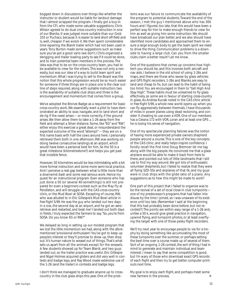bogged down in discussions over things like whether the instructor or student would be liable for landout damage that I almost scrapped the program. I finally got a buy-in from the CFI, who made some valuable suggestions. Chris Wilson agreed to do dual cross-country instruction in one of our Blaniks. It was judged more suitable than our Grob 103 or Puchacz, because it is easier to land short off-field and is, well, cheaper if we wreck it. We then spent considerable time repairing the Blanik trailer which had not been used in years. Tony Burton made some suggestions such as make sure you've got a good vario (we don't.) Chris organized a derigging and trailer loading party to see if it could be done, and to train potential team members in the process. The idea was that to be on the cross-country team, you had to be available to crew for the others. This was not only a necessity, but was our idea of a way to build team spirit and momentum. What I was trying to sell to the Board was the notion that this whole progression would be so much easier for someone if three things are in place: one is the clear outline of steps required, along with suitable instruction; two is the availability of suitable club ships; and three is the encouragement and momentum that comes from a group.

We've adopted the Bronze Badge as a requirement for basic cross-country work. We essentially want a pilot to have demonstrated an ability to soar, navigate, and to land short and de-rig if the need arises — or more correctly, if the ground arises. We then allow them to take a 1-26 away from the field and attempt a Silver distance. Some, like "EG" and "RW", either enjoy this exercise a great deal, or misunderstand the expected outcome of the word "attempt" — they are on a first name basis with half the cows around here. I personally retrieved them both in one afternoon. RW was working on doing twelve consecutive landings at an airport, which would have been a personal best for him. So the 50 is a great milestone (kilometrestone?) and helps you get past that invisible fence.

However, 50 kilometres would be less intimidating with a bit more formal instruction and some more semi-local practice. And I perceive a real gap between what is little more than a downwind dash and some real serious work. Hence my quest for an instructional program. Even someone who has just done a 50 (or several 40-somethings) is still not prepared for even a beginners contest such as the May Fly at Pendleton, and will struggle with the CAS cross-country clinic, or the Mud Bowl at SOSA. Excepting of course, RW, who was alluded to in Eric Gillespie's Mud Bowl article in *free flight 5/99*. He was the guy who landed out two days in a row, the second day at an airport, and he got an aeroretrieve and restarted, and beat me! I landed out both days in fields. I truly expected the farmers to say, "So, you're from SOSA. Do you know EG or RW?"

We delayed so long in setting up our modest program that we lost the little momentum we had, along with the aforementioned 'provisional enthusiasm'. You've got to keep up people's interest or they'll promise to show up, then drop out. It's human nature to weasel out of things. That's what sets us apart from all the animals except for the weasels. A few students showed up for Team Blanik, and two guys landed out, so the trailer practice was useful. Eric Gillespie and Nigel Holmes acquired gliders and did very well in contests and badge legs, and Ray Wood made extensive use of the 1-26 (and the trailer) in contests and badge legs.

I don't think we managed to graduate anyone up to crosscountry in the club glass ships this year. One of the problems was our failure to communicate the availability of the program to potential students. Toward the end of the season, I met the guy I mentioned above who has 300 hours and I figured, too late, that this would have been a perfect way for him to make enough friends to crew for him as well as giving him some instruction. We should have broadcast our plan better, and we also should have identified more candidates and approached them to ensure a large enough body to get the team spirit we need to drive the thing. Communication problems is a downside to having a large club. Can you from the smaller clubs claim a better result? Let me know.

One of the questions that comes up concerns how hightech you should be, and this involves both aircraft and nav aids. I believe in the old school of using 1-26s and maps, and there are those who swear by glass vehicles and GPS flight recorders. 1-26s and Blaniks are easy to land and cheap to fix, but can lead to the habit of being too timid. You are encouraged in them to "Get High And Stay High". These habits must be unlearned to fly glass effectively, so some are in favour of starting cross-country in glass. As Andrea Kuciak noted in the CAS clinic article in *free flight 5/99*, a whole new world opens up when you can fly aggressively between thermals. I have thousands of miles in power planes using dead reckoning, and consider it cheating to use even a VOR. One of our members has a Cessna 172 with VOR, Loran and at least one GPS ... he is losing his sense of navigation.

One of my spectacular planning failures was the notion of having more experienced private owners shepherd people around a course. This is one of the key concepts of the CAS clinic, and really helps inspire confidence. I fondly recall the first time Doug Bremner let me tag along with the big people. He convinced me that a glass airplane would be able to make it back from here to there, and pointed out lots of little landmarks that I still use to find my way around. We got lots of enthusiastic volunteer shepherds, but I failed to realize that they were all flying SZD-55s and airplanes of that ilk, and my guys were in club ships with the glide ratio of a piano. Any suggestions as to how this might be made to work?

One part of this project that I failed to organize was to be the revival of a set of local close-in club turnpoints one of my predecessor's programs that had fallen into disuse by the time I joined, so I was unaware of its existence until too late. (Remember I said at the beginning that this had probably been done before, but not recorded?) The points are within easy range of a 1-26 and, unlike a 50 k, would give great practice in navigation, upwind flying, and turnpoint photos, or at least overflying the target with one of those pesky flight recorders.

We'll try next year to encourage people to vie for a trophy by doing something like accumulating the most of these turnpoints over the summer, or perhaps setting the best time over a course made up of several of them. Sort of an ongoing 1-26 contest, the sort of thing I had in mind to generate and maintain individual and team interest. I mean to say that some competition is good, but I'm wary of those who download exact GPS records of each flight and then try to get better computer printouts next time.

My goal is to enjoy each flight, and perhaps meet some new farmers in the process. ❖ ◆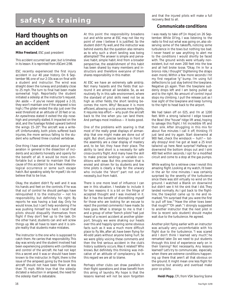# safety & training **safety & training**

## **Hard thoughts on an accident**

**Mike Freeland**, ESC past president

*This accident occurred last year, but is timeless in its lesson. It is reprinted from ASCent 2/98.*

ESC recently experienced the first injury accident in our 40 year history. On 6 September 98, one of our 2-33s was on final with a student and instructor. The wind was straight down the runway and probably close to 25 mph. The turn to final had been made somewhat high. Reportedly the student initiated a sideslip at the instructor's request. (An aside — if you've never slipped a 2-33, they won't maintain one if the airspeed is too high.) The glider ended the slip just over the west threshold at an altitude of 20 feet or so. An eyewitness stated it exited the slip nosehigh and promptly stalled. It impacted on the skid, and the fuselage folded upward behind the wings 15–20°. The aircraft was a writeoff. Unfortunately, both pilots suffered back injuries, the more serious falling to the student who suffered three crushed vertebrae.

One thing I have admired about soaring and aviation in general is the dissection of incidents and accidents honestly and openly for the benefit of all. It would be more comfortable but a denial to maintain that the cause of this accident to be a freak meteorological occurrence or some such escape hatch. But speaking solely for myself, I do not believe that to be true.

Okay, the student didn't fly well and it was his hands and feet on the controls. If he was that out of control he should perhaps have relinquished it to the instructor — not his responsibility, but definitely his right. By reports he was having a bad day. Only he would know, but I can't help wondering if he was pushing himself too hard. I recall that pilots should disqualify themselves from flight if they don't feel up to the task. On the other hand, students can and will screw things up. We all have to learn and it is simple reality that students make mistakes.

The instructor is the one who is supposed to catch them. He carries that responsibility. This day was windy and the student involved had been experiencing problems with confidence and control of the aircraft. He had not kept this a secret and it was or should have been known to the instructor. In flight, there is the issue of the airspeed; going by the book this aircraft should not have been flown at less than 75 mph. While true that the sideslip dictated a reduction in airspeed, the need for the sideslip itself is debatable.

At this point the responsibility broadens out and while some at ESC may not like my point of view I believe it is justified. So the student didn't fly well, and the instructor was behind events. But the question also remains as to why such a short landing was being attempted? The answer is simple and pervasive: habit, simple habit. And from a broader perspective, the establishment of this habit has been shared by many members and instructors and therefore everyone of them shares responsibility in this matter.

At ESC we have an extremely safe airstrip. Not many hazards and the fields that surround it are almost all landable. So, as we routinely fly in this safe environment, where the standard of pilot skills need not be as high as other fields, the short landing becomes the norm. Why? Because it is more efficient, allowing us to process more flights. It requires less effort — why push the aircraft back to the line when you can land there. And perhaps most insidious — it looks good.

One of the problems with soaring is that most of the really great displays of airmanship that one might make are done out of sight. But short, precise landings in front of the assembly are a clear display of mastery and, to be fair, they have their place. The ability to land short is a necessity for safe cross-country flight. And many have the skill to make precise landings in variable conditions with ease. But this precision that is envied and striven for by students and low time pilots is clearly a trap for the unwary who include the "short" part not out of necessity, but from habit.

There is one more level of influence I can see in this situation. I hesitate to include it for two reasons: it is a bit on the fringe of accepted thought and I was involved in it. But it has the benefit of discrediting myself for those who are looking for an excuse to reject the pointed comments I have made. So here goes. What is strange to me is that I and a group of other "bench pilots" had just heard of a recent accident at another gliderport. Smugly we were shaking our heads over this and happily ignoring some obvious facts such as it was a much more difficult place to fly. We, after all, have been flying for 40-odd years without anyone being hurt. So we were glibly voicing these comments and then the first serious accident in the club's history suddenly occurs. Was it related? Who knows. But definitely this thinking was indicative of an attitude of complacency. So in this regard we are all to blame.

Perhaps other clubs can draw parallels in their flight operations and draw benefit from this airing of laundry. My hope is that the lessons learned will not be soon forgotten and that the injured pilots will make a full

#### **Communicate conditions**

I was ready to take off [in Hope] on 26 September. While Dl'ing, I was listening to the radio to find out what was going on, also observing some of the takeoffs, noticing some turbulence in the tows but nothing too bad. I never heard or saw anything to alert me to the conditions I would shortly be faced with. The ground winds were virtually nonexistent, but not even 200 feet into the tow and all hell broke loose. "Okay. I'm in for a bronco ride, I thought" (tightening the straps even more). Within a few more seconds I hit my first negative "g" bump. I'm using full deflections to just stay behind the towplane. Negative g's again. Then the towplane suddenly drops left and I am being pulled up and to the right. No amount of control input stops my climbing. I pull the release just as I lose sight of the towplane and keep turning to the right to head back to the airport.

We had taken off on 025, and I'm at 1200 feet. With a strong tailwind I edge toward the Bowl (the "house" ridge lift area), hoping to salvage this flight. I hit incredible lift and then sink. After struggling in this mix for about five minutes I call it off, thinking I'll just land and try again. Start downwind at 900 feet, check the windsock — huh? — totally droopy! And I've got at least a 25 knot tailwind up here. Next surprise? Halfway on downwind the bottom drops out and I sink 400 feet within seconds. I opt for a modified circuit and come to a stop at the gas pumps.

While waiting for a retrieve crew I revisit this amazing flight. Looking at my watch, I'd been in the air for nine minutes. I was certainly surprised by the severity of the turbulence since there was still virtually no wind on the ground. I watched a Blanik on downwind but didn't see it hit the sink that I did. They landed normally. As I got back to the flightline, the towpilot came up to me and remarked, "I'm surprised that you were the first to pull off tow." "Have the other tows been that rough?" "Oh yeah." I strongly suggested to another instructor that the next pilot in line (a recent solo student) should maybe wait due to the turbulence. He agreed.

Another pilot flying earlier with an instructor was actually very uncomfortable with his flight due to the turbulence. "I was scared and I don't think I learned very much", he remarked later. Do we need to put students through this kind of experience early on in their training? Not necessarily. Any lessons learned? Let's try to communicate, especially when there are extreme conditions happening up there that aren't all that obvious on the ground. It might mean one less flight for someone, but anxiety and overload make poor co-pilots.

**Heidi Popp**, CFI, from VSA *Soaring Scene*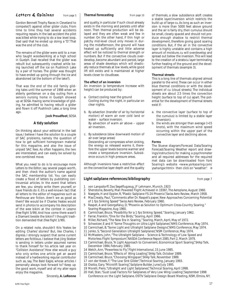#### Letters & Opinions from page 5

Gordon Bennett Trophy Races in Cleveland to compete(?) against other glider clubs. From time to time they had several accidents requiring repairs. In the last accident the pilot was killed while trying to do a low level loop. Dad said that he ended up doing a "D". That was the end of the club.

The remains of the glider were sold to a man who taught woodworking at a high school in Guelph. Dad recalled that the glider was rebuilt but subsequently crashed while being launched off the ice on Pushlinch Lake by a pair of horses. The glider was thought to have ended up going through the ice and abandoned (at the bottom of the lake?).

That was the end of the old family gliding tales until the summer of 1998 when an elderly gentleman on a day outing from a seniors nursing home in Guelph showed up at SOSA. Having some knowledge of gliding, he admitted to having rebuilt a glider and flown it off Pushlinch Lake, a long time ago.

#### **Jock Proudfoot**, SOSA

#### **A tidy solution**

On thinking about your editorial in the last issue, I believe I have the solution to a couple of SAC problems, namely the question of how to get sufficient homegrown material for this magazine, and also the issue of unpaid SAC fees. As often happens, the two are interrelated, and can easily be solved by one combined move.

What you need to do is to encourage more *Letters to the Editor*, say several pages worth, and then check the author's name against the SAC membership list. You can easily create a flood of letters by publishing controversial articles. In the event that letters are few, you simply write them yourself, or have friends do it. It's a well-known fact that all letters to the editor of magazines such as *Penthouse* are fiction. Aren't we as good as them? We would be if Charles Yeates would send in photos to accompany his description of the wee bikini at the contest in Leszno (*free flight* 5/99). And how come there wasn't a Diamant beside the bikini? I thought tradition demanded that (*free flight* 1/99).

On a related note, shouldn't Kris Yeates be editing Charles' stories? But, like Charles, I digress. I strongly suspect that some current letters are fictitious. I believe that Jörg Stieber is sending in letters under assumed names to thank himself for his article last year on "Collision Avoidance". How else would a guy who only writes one article get an award instead of a hardworking regular contributor such as, say, The Bald Eagle, whose articles I personally always look forward to? Keep up the good work, myself and all my alter egos enjoy the magazine.

Sincerely, **A. LeRonne**

and quality, in particular if such cloud already exists in the morning and persists until after noon. Then thermal production will be delayed and they are often weak and few in number. On the other hand, if thin high or patchy mid-level cloud only moves in during the midafternoon, the ground will have heated up sufficiently and little adverse effect will be noticed to thermal strength or numbers. But if the convective clouds overdevelop, become abundant and persist, large areas of shade develops which will drastically reduce thermals at low levels, while good lift still exists and is maintained at higher levels closer to cloudbase.

#### **The effect of an inversion**

An inversion (a temperature increase with height) can be produced by:

- a. *Contact cooling* near the ground Cooling during the night, in particular on clear nights.
- b. *By advection* (transfer of air by horizontal motion) of warm air over cold land or water – surface inversion. By advection of warm air above – upper air inversion.
- c. *By subsidence* (slow downward motion of air over large areas) Descending air compresses when sinking, the energy so released warms it, therefore the upper levels become warmer and create a temperature inversion. Subsidence occurs in high pressure areas.

Although inversions have a restrictive effect on the convective layer depth and the quality

**Thermal forecasting** from page 10 of thermals, a slow subsidence aloft creates a stable layer/inversion which restricts the build up of large cu. As long as such an inversion is more than 5000 feet above ground and the air is fairly dry, then cumulus should be small, closely spaced and should not produce enough shadow to restrict thermal development, therefore giving good soaring conditions. But, if the air in the convective layer is highly unstable and contains a high amount of moisture, cu will overdevelop and spread out below the inversion. This will lead to the creation of a stratocu layer terminating further heating of the ground and the development of thermals (example 3).

#### **Thermal streets**

This is a long line of thermals aligned almost parallel to the wind. These can occur in either blue thermal conditions or with the development of cu (cloud streets). The individual streets are about 2.5 times the convection height (surface to top of cu) apart. The potential for the development of thermal streets exist if:

- a. the convective layer (surface to top of the cumulus) is limited by a stable layer (inversion).
- b. the winds are stronger than average (>15 knots), with the maximum wind speed occurring within the upper part of the convective layer and declining above.

#### **Forms**

The Stueve diagram/Forecast Data/Soaring Forecast/Soaring Weather report and drawings/instructions for making a psychrometer and all required addresses for the required met data can be downloaded from York Soaring's website *<www.yorksoaring.com/ ysahangar.html>* then click on "weather". ❖

#### **Light sailplane references/bibliography** from page 7

- 1 von Langsdorff, *Das Segelflugzeug*, JF Lehmann, Munich, 1923
	- 2 Shenstone, Beverly, Man Powered Flight Achieved in 1936?, *The Aeroplane*, August 1960.
- 3 Naegele, H and Eppler, R, "Plastic Sailplane FS-24 Phoenix", *Swiss Aero Review*, March 1958.
- MacCready, Paul, "Comments after Dr. Raspet's paper, New Approaches Concerning Potential of 1 fps Sinking Speed" *Swiss Aero Review*, February 1960.
- 5 Raspet, A and Georgefalvy, D, "Phoenix as Solution to Optimum Cross-Country Soaring." *Soaring Magazine*, Aug 1960.
- 6 Carmichael, Bruce, "Possibility for a 1 fps Sinking Speed," *Soaring*, January 1962.
- 7 Farrar, Franklin, "One for the Birds," *Soaring*, April 1966.
- 8 Miller, Richard, "The New Era in Soaring," *Soaring*, March, April, May of 1972.
- 9 Schweizer, E and P, "Some Thoughts on Ultra Light Sailplanes", NMS Conference, May 1974.
- 10 Carmichael, B, "Some Light and Ultralight Sailplane Designs", NMS Conference, May 1974.
- 11 Jenko, S, "Second Generation Ultralight Sailplanes", NSM Conference, May 1974.
- 12 McMasters, John, "The Ultralight Sailplane Science & Technology of Low Speed and Motorless Flight Symposium", *NASDA Conference Report 2085, Part 2,* March 1979.
- 13 Carmichael, Bruce, "A Light Approach to Convenient, Economical Sport Soaring", *SHAp Talk,* December 1984, February 1985.
- 14 Welch, Ann, "Powerless to Fly", *Flight International,* 15 June 1985.
- 15 Carmichael, Bruce, "Effects of Wing Loading", *SHAp Talk*, October 1989.
- 16 Carmichael, Bruce, "Choosing Wingspan", *SHAp Talk*, November 1989.
- 17 von der Kreek, F, "The Low Sink Glider", *Technical Soaring*, January 1993.
- 18 Osoba, Gary, "Microlift Soaring", *Sailplane Builder*, June/July 1995.
- 19 Morelli, Piero, "Ultralight and Light Sailplanes", *Technical Soaring*, April 1998.
- 20 Hall, Stan, "Gust Load Factors For Sailplanes of Very Low Wing Loading", September 1998 Conference on the Light Sailplane. OSTIV Sailplane Design Board Meeting, NSM, Elmira, NY.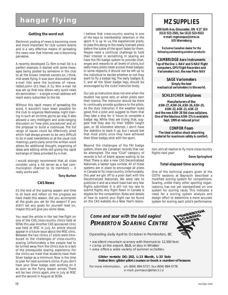# **hangar flying**

#### **Getting the word out**

Electronic posting of news is becoming more and more important for club current events and is a *very* effective means of spreading the news now that Internet use is becoming pervasive.

A recently developed Cu Nim e-mail list is a perfect example. It started with some messages being posted by someone in the club to all the known Internet owners on, I think, mid-week flying. It was soon discovered that e-mail lists were the business of *<www. listbot.com>* (it's free). A Cu Nim e-mail list was set up that now allows very quick news dis-semination — a single e-mail address will reach every subscriber to the list.

Without this rapid means of spreading the word, it wouldn't have been possible for the club to organize Wednesday night training in such an on-time, go/no-go way. It also allowed a very intelligent and wide-ranging discussion on "new pilot procedures" and on the proposal to build a clubhouse. The full range of issues could be effectively aired which had always proven to be very difficult to do in past newsletters or at the usual club meetings, particularly since the written word allows for additional thought, organizing of ideas and editing while still giving the rapid exchange of ideas provided by e-mail.

I would strongly recommend that all clubs consider using a list server as a fast communication channel to its members — it really works well.

#### **Tony Burton**

#### **CAS News**

It's the end of the soaring season and time to sit back and reflect on the progress we have made this season. Did you accomplish all the goals you set for the season? If you didn't set any goals for yourself read on, maybe this will give you some ideas.

You read the article in the last *free flight* on one of the CAS cross-country clinics held at SOSA this year. Another CAS sponsored clinic was held at MSC in July. An article should appear in a future issue about the MSC clinic. Between the two clinics, 17 pilots were introduced to the challenges of cross-country soaring. Unfortunately a few people had to be turned away from the clinics due to a lack of the prerequisite soaring experience. For the clinics we insist that students have their Silver badge as a minimum. Now is the time to plan for next summer's clinics. If you don't have your Silver badge, start working on it as soon as the flying season arrives. There will be two clinics again, one in July at MSC and the second in August at SOSA.

I believe that cross-country soaring is one of the keys to membership retention in the sport. It is up to us, the experienced pilots, to pass this along to the newly licensed pilots before the lustre of the sport fades for them. People need a continual challenge to hold their interest in something. In soaring we have the FAI badge system to provide challenges and rewards to all levels of pilots, but sadly many pilots never pursue these badges. In some respects, it should not be left up to the individual to decide whether or not they want to fly a badge leg. The early badges: B, C, and all the Silver badge legs, should be encouraged by the clubs' instructor body.

Our job as instructors does not end when the student has gone solo, or when pilots earn their licence. The instructor should be there to continually provide guidance to the pilots. As the duty instructor, if the weather looks good, find a pilot and suggest to them that they take a ship for 'x' hours to complete a badge leg. While they are trying that, suggest that they also try their 1000m height gain, or 50 kilometre attempt. I don't have the statistics to back it up, but I would bet that most pilots, once they have achieved their Silver badge, stick with the sport.

Beyond the challenges of the FAI badge system, there are Canadian records that can be attempted. The new "Club" category of records is full of blank spaces waiting to be filled. There is also a new CAS Decentralized Nationals, a ladder type contest. All of these systems are in place to encourage all pilots in Canada to fly cross-country. Unfortunately, this year we got off to a poor start with the Decentralized Nationals. We were late to publicize it and as a result have had very few flights submitted. It is still not too late to submit flights. Any flight flown in Canada is eligible for the competition. Rules and details of how to submit your flight can be found on the CAS website. As a New Year's resolu-

## *MZ SUPPLIES*

**1450 Goth Ave, Gloucester, ON K1T 1E4 (613) 523-2581, fax (613) 523-9322 e-mail:** *mgmzaqua@cmw.ca* **Ulli Werneburg**

**Exclusive Canadian dealer for the following outstanding aviation products:**

**CAMBRIDGE Aero Instruments Top of the line L-NAV and S-NAV flight computers, GPS Flight Recorders and Variometers incl. the new Palm NAV**

**SAGE Variometers Simply the best mechanical variometers in the world.**

#### **SCHLEICHER Sailplanes**

**Manufacturers of the: ASW-27, ASW-24, ASH-26, ASH-25, ASW-22, ASK-21, ASK-23 and the new ASW-28 Std class sailplane. One of the fabulous ASW-27s is available Sept. 1999 at reduced price!**

**CONFOR Foam The ideal aviation shock absorbing material for maximum safety & comfort.**

tion, let's all resolve to fly more cross-country flights next year!

#### **Dave Springford**

#### **Total elapsed time scoring**

One of the technical papers given at the OSTIV sessions at Bayreuth described a modified scoring system for competitions. Soaring, unlike many other sporting organizations, has not yet standardized on one system for scoring races. This indicates a need for a scoring system analysis and design effort to determine a more accurate system for scoring each pilot's performance.

# **Come and soar with the bald eagles! PEMBERTON SOARING CENTRE**

Operating daily April to October in Pemberton, BC

- excellent mountain scenery with thermals to 12,500 feet
- camp at the airport, B&B, or stay in Whistler
- area offers a wide variety of summer activities

#### **Glider rentals: DG-202, L-13 Blanik, L-33 Solo Instruction: glider pilot courses or book a number of lessons**

For more information, ph (604) 894-5727, fax (604) 894-5776 e-mail: pemsoar@direct.ca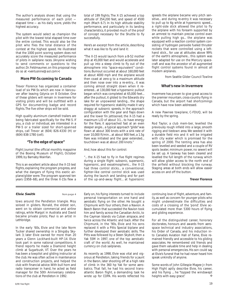The author's analysis shows that using the measured performance of each pilot elapsed time — as his daily score, yields the highest accuracy.

The system would select as champion the pilot with the lowest total elapsed time over the entire contest. This would also be the pilot who flies the total distance of the contest at the highest speed. He illustrated that the 1000 point scoring system does not accurately score the measured performance of pilots in sailplane races. (Anyone wishing to send comments or questions to the author, Dr. Feldmaumer, on this proposal may do so at *<ventusnine@ aol.com>*)

#### **More PW-5s coming to Canada**

Trevor Florence has organized a container load of six PW-5s which are now in Vancouver after leaving Gdynia on 8 October. One of these gliders will remain in Invermere for visiting pilots and will be outfitted with a GPS for documenting badge and record flights. The five other ships will be sold.

High quality aluminum clamshell trailers are being fabricated specifically for the PW-5. If you, a club or individual, are interested in a PW-5 or a trailer sized for short-spanned ships, call Trevor at (604) 826-4330 (H) or (604) 838-1780 (cell).

#### **"To the edge of space"**

*Flight Journal* (the official monthly magazine of the Boeing Museum of Flight), October 1999, by Barnaby Wainfan.

This is an excellent article about the X-15 test flights, explaining the program progress, and what the dangers of flying this exotic airplane/glider were. The program spanned ten years (1958–68), and the three X-15s flew a

total of 199 flights. The X-15 achieved a top altitude of 354,200 feet, and speed of 4500 mph (Mach 6.7). In its high altitude stability performance, and particularly in its landing characteristics, it provided much of the proof of concept necessary for the Shuttle to fly successfully.

Here's an excerpt from the article, describing what it was like to fly and land it:

"The X-15 would launch from a B-52 mother ship at 45,000 feet and would accelerate and pull up into a steep climb to fly out of the atmosphere into "space-equivalent" conditions. Burnout occurred at about 160,000 feet at about 4000 mph and the airplane would then coast at zero-g to a maximum altitude and then nose over into a re-entry... it was coming almost straight down when it reentered... at 130,000 feet a hypersonic pullout began which was completed at 65,000 feet... after the pullout, it glided to the Edwards dry lake for an unpowered landing... the shape required for hypersonic stability made it very draggy at subsonic speeds, in the approach configuration with the gear and flaps down and the lower fin jettisoned, the X-15 had a maximum L/D of about 3:1... to have energy for the flare, it approached fast at an even steeper angle... a typical approach "glide" was flown at about 300 knots with a sink rate of over 10,000 ft/min... at about 900 feet, a 1.5g flare was initiated and the gear extended... touchdown was at about 200 knots."

And, how about this for control:

"... the X-15 had to fly in five flight regimes during a single flight: subsonic, supersonic, hypersonic, and exoatmospheric... the X-15 had three control sticks... a conventional, fighter-like central control stick was used during the launch and landing and for part of the up-and-away flight... at hypersonic speeds the airplane became very pitch sensitive... and during re-entry it was necessary to pull up to 6g while at hypersonic speed... a right-side stick allowed the pilot to fly the airplane with his forearm supported by an armrest to maintain precise control even while pulling high gs... the airplane was equipped with a reaction control system consisting of hydrogen peroxide fueled thruster rockets that were controlled using a lefthand stick... for use at altitudes above 99% of the earth's atmosphere... this system was later adapted for use on the Mercury spacecraft and was the ancestor of all augmented flight control systems found in almost all modern airplanes.

from Seattle Glider Council *Towline*

#### **What's new in Invermere**

Invermere has proven to give great access to the premier mountain, cross-country flying in Canada, but the airport had shortcomings which have now been addressed.

A new Pawnee towplane, C-FDUQ, will be ready by the spring.

Rod Taylor, a club mem-ber, levelled the previously rough infield into a large, smooth rigging and tiedown area. We seeded it with a durable field mix and it will be irrigated with city water which is promised for the spring of 2000. The tenting area has also been levelled and seeded and a couple of RV spots (water, minimum power, no sewer) will be set up. A taxiway has been cleared and levelled the full length of the runway which will allow glider access to the north end of the airfield without blocking the runway. Staging areas at both ends will allow easier access on and off the button.

#### **Trevor Florence**

tows around the Pendleton triangle. Moy soloed in gliders. Ronald, the eldest son, went on to obtain commercial and airline ratings, while Margot in Australia and David became private pilots; Paul is an artist in Lethbridge.

In the early '60s, Elvie and the late Norm Tucker shared ownership in a Slingsby Skylark 3; later Elvie owned for more than 20 years a Glenn Lockhard-built HP-14. Elvie took part in some national competitions. A friend reports he made a Diamond height climb at Sugarbush, VT. Over the years he has been a towpilot and gliding instructor at the club. He was often active in maintenance and construction projects, and helped the club with financial advice. With bull horn and radio transceiver in hand, he acted as field manager for the 50th Anniversary celebrations of the club at Pendleton in 1992.

**Elvie Smith from page 4** Early on, his flying interests turned to include personal transportation on one hand and aerobatic flying on the other. He bought a Chipmunk with four others, then a Navion. A Beech Baron that succeeded the Navion took him and family across the Canadian Arctic, to the Cayman Islands via Cuban airspace, and twice across the Atlantic and back. After the Chipmunk, in the '90s, Elvie and his sons replaced it with a Pitts Special biplane and further developed their aerobatic skills. The Pitts was followed by a Steen Skybolt, then a Yak 55M in 1997, one of the top aerobatic craft of the world. As well, he maintained currency on club sailplanes.

> As recently as 1998, Elvie was vital and vigorous at Pendleton, taking friends for a jaunt in the Baron, later shooting off at a high rate of climb in the 360 hp Yak for some aerobatics. That fall, he had his second transatlantic Baron flight, a demanding task he wrote up for COPA. His words reflected his

continuing love of flight, adventure, and family, as well as concern for younger pilots who might underestimate the difficulties and costs of a crossing of the 'pond'. Elvie accumulated more than 5300 hours of flying and gliding experience.

For all the distinguished career, honorary doctorates, honours and awards from aerospace technical and industry associations, his Order of Canada, and his induction into Canada's Aviation Hall of Fame, Elvie remained friendly and accessible to his gliding associates. He remembered old friends and gave them valuable time and help in dealing with personal emergencies. His son could say at Elvie's funeral that he had never heard him speak unkindly of anyone.

Some words of John Gillespie Magee Jr. from *High Flight* aptly describe Elvie, his career, and his flying ... he "topped the windswept heights with easy grace".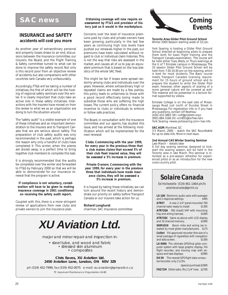## **SAC news**

#### **INSURANCE and SAFETY accidents will cost you more**

As another year of extraordinary personal and property losses draws to an end, discussions between the Insurance committee, our insurers, the Board, and the Flight Training & Safety committee turned to what can be done to improve the safety record. Not only is this record poor from an objective review of accidents, but also comparisons with other countries rank Canada very unfavourably.

Accordingly, FT&S will be taking a number of initiatives, the first of which will be the hosting of regional safety seminars over the winter. It is clearly important that clubs take an active role in these safety initiatives. *Interactions with the insurers have moved on from the review to what we as an organization are doing to turn the situation around.*

The "safety audit" is a visible example of one of these initiatives and an important demonstration to the insurers and to Transport Canada that we are serious about safety. The preparation of club safety audits was only recommended in the past, which is perhaps the reason why only a handful of clubs have completed it. This winter, when the planes are stored away, is a perfect time to bring together club members to complete this task.

It is strongly recommended that the audits be completed over the winter and forwarded to FT&S by February 2000 so that we will be able to demonstrate for our insurance renewal that the program is active.

#### *If compliance is not voluntary, consideration will have to be given to making insurance coverage in 2001 conditional on receiving the safety audit report.*

Coupled with this, there is a more stringent review of applications from new clubs and private owners to join the insurance plan.

#### *Obtaining coverage will now require an assessment by FT&S and provision of history just as it would in the marketplace.*

Concerns over the level of insurance premiums paid by clubs and private owners have been growing, particularly in the last few years as continuing high loss levels have pushed our renewals higher. In the past, our premiums have been calculated without regard to club or individual claim histories. This is not the way that risks are assessed in the market, and causes all of us to pay an equivalent premium that is based on the loss statistics of the whole SAC fleet.

This might be fair if losses were spread randomly among clubs and individuals over the years. However, where extraordinary high or repeated claims are made by a few parties, this policy leads to unfairness to those with a good record effectively being made to subsidize those who are suffering the high losses. The current policy offers no financial incentive to clubs or individuals to enforce or follow safe practices.

The Board, in consultation with the Insurance committee and our agents, has studied this issue, and has arrived at the following modification which will be implemented for the next renewal:

*Clubs. Commencing with the year 1999, for every year in the previous three that a club makes claims that exceed 5% of their club fleet insured value, they will be assessed a 5% increase in premium.*

*Private Owners. Commencing with the year 1999, for every year in the previous three that individuals have made insurance claims, they will be assessed a 5% increase in premium.*

It is hoped by taking these initiatives, we can turn around the recent history and demonstrate our priority on safety before Transport Canada or our insurers take action for us.

#### **Richard Longhurst**

chairman, SAC Insurance committee



major and minor repair and inspection in:

• steel tube, and wood and fabric • stressed skin aluminum • composites

**Chris Eaves, XU Aviation Ltd. 2450 Aviation Lane, London, ON N5V 3Z9**

ph (519) 452-7999, fax (519) 452-0075 e-mail: xu-aviation@sympatico.ca TC Approved Maintenance Organization 24-88



#### **Toronto Area Glider Pilot Ground School** Winter 2000 Session starting week of 10 Jan.

York Soaring is hosting a Glider Pilot Ground School directed at beginning pilots to prepare them both for basic flight training and the Transport Canada examination. The course will be held either Tues, Weds, or Thurs evenings at the U of T Erindale campus in Mississauga. The 10 session Glider Pilot Ground School will be held from 7:30-10:30 pm on the evening, which is best for most students. The Basic course meets Transport Canada's licensing requirement for 15 hours of ground school and to prepare the student to write the Glider Pilot exam. However, other aspects of soaring of a more general nature will be covered as well. The material will be presented in a lecture format supported by videos.

Erindale College is on the east side of Mississauga Road just north of Dundas Street in Mississauga. For registration info or if you have any questions, contact Ulf Boehlau: (416) 410-3883 (W) *<ulf@problem.org>* (905) 884-3166 (H) *<cm855@torfree.net>* York Soaring *<www.yorksoaring.com>* has info.

#### **SAC AGM**, Montreal, QC

3-5 March, 2000 – watch the SAC Roundtable for up-to-date info. More in next issue.

#### **2nd Annual CAS Winter Soaring Seminar** Late March – details later

A full day soaring seminar, designed to kickstart the soaring season, will be held in the Toronto area in late March. This seminar is intended as a pre-season refresher for experienced pilots or as an introduction for the new cross-country pilot.

# *Solaire Canada*

Ed Hollestelle (519) 461-1464 ph/fx *solairecanada@sprint.ca*

**LX-100** Electronic audio vario with averager and 2 response settings *\$495* **ATR57** A new 2-1/4" panel-mounted 760 channel radio ready to install. *\$1395*

**ATR720A** 760 chanΩ VHF with mounting tray and wiring harness. *\$1695*

**ATR720C** Same as above with LCD display<br>and 10 channel memory. \$1995 and 10 channel memory.

**SHM1010** Boom mike and wiring (as installed by most glider manufacturers. *\$175* **Colibri** FAI approved recorder (the size of a small package of cigarettes) with navigation and data screen. *\$1395*

**LX-5000** The ultimate GPS/final glide computer system with large graphic display, FAI flight recorder, and moving map with air-<br>space and task displays space and task displays.

**DX 50** The newest GPS flight data computer/recorder, only 2 LCDs.

*(special purchase) \$2995*

**FSG71M** Dittel radio, fits 2 1/4" hole. *\$2795*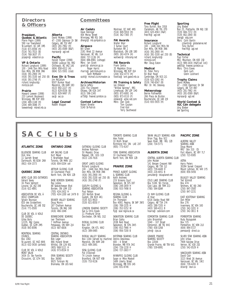#### **Directors & Officers**

#### **President, Quebec & Atlantic** Pierre Pepin (1999) 590 rue Townshend St-Lambert, QC J4R 1M5 (514) 671-6594 (H) (514) 761-7015 (B) (514) 768-3637 (F) prpepin@videotron.ca

**VP & Ontario** Richard Longhurst (1999) 100 - 1446 Don Mills Road Don Mills, ON M3B 3N6 (416) 391-2900 (H) (416) 391-3100 ext 250 (B) (416) 391-2748 (F) richard\_longhurst@ mintzca.com

#### **Prairie**

Howard Loewen (1998) 233 Lamont Boulevard Winnipeg, MB R3P 0E8 (204) 489-1148 (H)  $(204)$  489-3086 (F) loewenhw@mbnet.mb.ca

# **Alberta** David McAsey (1998) 47-2300 Oakmoor Dr SW

Calgary, AB T2V 4N7 (403) 281-7962 (H) (403) 281-0589 (B&F) mprsoar@agt.net **Pacific**

Harald Tilgner (1998) 50090 Lookout Rd, RR2 Chilliwack, BC V4Z 1A5 (604) 858-4312 (H) (604) 521-5501 (club)

**Exec Dir & Treas** Jim McCollum 6507 Bunker Road Manotick, ON K4M 1B3 (613) 692-2227 (H) (613) 829-0536 (B) (613) 829-9497 (F) sac@sac.ca

**Legal Counsel** Robert Wappel

#### **Committees**

**Air Cadets** Dave Hennigar 404 Moray Street Winnipeg, MB R3J 3A5 dhengr@mb.sympatico.ca

#### **Airspace** Bill Green 2181 West 22 Avenue Vancouver, BC V6L 1L4 (604) 737-1136 (H) (604) 886-8981 (cottage) Mbrs: Ian Grant grant.i@atomcon.gc.ca<br>Roger Harris rharris @petrillobujold.ca<br>Scott McMaster

scott@mcmail.cis.mcmaster.ca

**Archives/Historian** Barrie Jeffery 2201 Fox Crescent Ottawa, ON K2A 1H7 (613) 596-1345 ai758@freenet.carleton.ca

**Contest Letters** Robert Binette 5140 St-Patrick

Montreal, QC H4E 4N5 (514) 849-5910 (H) (514) 362-7365 (F)

#### **FAI Awards** Walter Weir 3 Sumac Court Burketon RR 2 Blackstock, ON L0B 1B0 (905) 263-4374 (H)

waltweir@inforamp.net

**FAI Records** Frank Cwikla 35 Mapleton Drive Winnipeg, MB R2P 0J4 (204) 632-4773 (H) fcwikla@lark.gawd.mb.ca

**Flt Training & Safety** Ian Oldaker "Willow Spinney", RR1 Limehouse, ON L0P 1H0 (905) 873-6081 (H) (905) 873-0110 (F) oldaker@aztec-net.com Mbrs: Dan Cook Tom Coulson Fred Kisil

Terry Southwood

#### **Free Flight** Tony Burton, Box 1916 Claresholm, AB T0L 0T0 (403) 625-4563 (H&F)

free-flt@agt.net **Insurance** Richard Longhurst 100 - 1446 Don Mills Rd Don Mills, ON M3B 3N6 (416) 391-2900 (H) (416) 391-3100 ext 250 (B) richard\_longhurst@ mintzca.com Mbr: Doug Eaton

**Medical** Dr. Peter Perry 64 Blair Road Cambridge, ON N1S 2J1 (519) 623-1092 (H) (519) 740-6547 (B) Mbr: Dr. WL Delaney

**Meteorology** Bernie Palfreeman 266 Place de Brullon Boucherville, QC J4B 2J9 (514) 655-5935 (H)

#### **Sporting**

Jörg Stieber Box 25, Plattsville, ON N0J 1S0 (519) 684-7372 (H) (519) 662-2840 (B) joerg@odg.com Mbrs: Colin Bantin ccbantin@globalserve.net Tony Burton free-flt@agt.net

#### **Technical**

Paul Fortier RR2, Mountain, ON K0E 1S0 (613) 989-1634 (H&F[call 1st]) ae605@freenet.carleton.ca Mbrs: Chris Eaves Herb Lach Glenn Lockhard

**Trophy Claims** David McAsey 47 - 2300 Oakmoor Dr SW Calgary, AB T2V 4N7 (403) 281-7962 (H) (403) 281-0589 (B&F) mprsoar@agt.net

**World Contest & IGC Cdn delegate** Jörg Stieber see Sporting

# **SA C C L U b s** TORONTO SOARING CLUB SWAN VALLEY SOARING ASSN

#### **ATLANTIC ZONE**

BLUENOSE SOARING CLUB Dick Vine 11 Garrett Street Dartmouth, NS B2W 2N9 (902) 434-1573

#### **QUEBEC ZONE**

AERO CLUB DES OUTARDES Gérard Savey 16 Place Valmont Loraine, QC J6Z 3X8 (514) 621-4891

ASSOCIATION DE VOL À VOILE CHAMPLAIN Sylvain Bourque 820 des Grosseilliers Boucherville, QC J4B 5S2 (514) 771-0500

CLUB DE VOL À VOILE DE QUEBEC Gilles Boily 12235, Mgr Cooke Québec, QC G2M 2M5 (418) 843-8596

MONTREAL SOARING **COLINCIL** Box 1082 St-Laurent, QC H4Z 4W6 (613) 632-5438 (airfield)

CLUB DE VOL À VOILE MONT VALIN 3434 Ch. Ste Famille Chicoutimi, QC G7H 5B1 AIR SAILING CLUB Kurt Meyer 5 Stratheden Road Toronto, ON M4N 1E2 (416) 804-0204 cell

**ONTARIO ZONE**

ARTHUR GLIDING CLUB 10 Courtwood Place North York, ON M2K 179

BASE BORDEN SOARING Ray Leiska 88 Saskatchewan Blvd Borden, ON L0M 1C0 (705) 424-2432 H (705) 424-1200 ext 2479 B

BEAVER VALLEY SOARING Doug Munro 187 Chatham Avenue Toronto, ON M4J 1K8 (416) 466-1046

BONNECHERE SOARING Iver Theilmann 7 Hoffman Avenue Petawawa, ON K8H 2J4 (613) 687-6836

CENTRAL ONTARIO SENTING **ASSOCIATION** Bob Leger 866 Hyland Street Whitby, ON L1N 6S1 (905) 668-5111 H (416) 973-8534 B

ERIN SOARING SOCIETY Box 36060 9025 Torbram Rd Bramalea, ON L6S 6A3 GATINEAU GLIDING CLUB Andrew Robinson 50 Majestic Drive Nepean, ON K2G 1C8 (613) 226-7616

GREAT LAKES GLIDING Richard Longhurst 100 - 1446 Don Mills Road Don Mills, ON M3B 3N6 (416) 391-2900 (H) (416) 391-3100 ext 250 (B) (416) 391-2748 (F)

GUELPH GLIDING & SOARING ASSOCIATION Paul Nelson 183 Norfolk Street Guelph, ON N1H 4K1 (519) 821-9610 (519) 821-8550 F

LONDON SOARING SOCIETY Sue & Chris Eaves 11 Pinehurst Drive Dorchester, ON N0L 1G2

RIDEAU GLIDING CLUB Box 307 Kingston, ON K7L 4W2 (613) 389-0485

Box 1164 (served by machine) Dennis Descoteau<br>Manotick, ON K4M 1A9 400 - 4 Street RIDEAU VALLEY SOARING (613) 489-2691

SOSA GLIDING CLUB Pat O'Donnell 74 Lincoln Avenue Brantford, ON N3T 4S9 (519) 753-9136

Alex Foster 10 Blyth Street Richmond Hill, ON L4E 2X7 (905) 773-4147

PRINCE ALBERT GLIDING & SOARING CLUB Keith Andrews 219 Scissons Court Saskatoon, SK S7S 1B7 (306) 249-1859 H (306) 933-7498 B

REGINA GLIDING & SOARING CLUB Jim Thompson Box 4093, Regina, SK S4P 3W5 (306) 789-1535 H (306) 352-5252 W fly@soar.regina.sk.ca

SASKATOON SOARING CLUB Brian Galka 203B Reid Road Saskatoon, SK S7N 2W5 (306) 652-7966 H (306) 956-7200 B

WESTMAN SOARING CLUB Brandon, MB R7A 3H2 (204) 726-1230 H (204) 727-1603 F WINNIPEG GLIDING CLUB

Susan or Mike Maskell 1489 Liberty Street Winnipeg, MB R3S 1A5 (204) 831-8746

Brian Tigg, Box 922 Swan River, MB ROL 170 (204) 734-5771

#### **ALBERTA ZONE**

CENTRAL ALBERTA SOARING CLUB John Mulder 141 Bergen Crescent NW Calgary, AB T3K 1J2 (403) 739-4449 H (403) 216-4051 B jamulder@telusplanet.net

COLD LAKE SOARING CLUB Box 5108, Stn Forces Cold Lake, AB T9M 2C3 (780) 594-SOAR

CU NIM GLIDING CLUB Al Hoar 6316 Dalsby Road NW Calgary, AB T3A 1Y4 (403) 288-7205 H (403) 569-4311 B  $h$ narra@cadvision.com

EDMONTON SOARING CLUB John Broomhall 1040 - 107 Street Edmonton, AB T6J 6H2 (780) 438-3268  $inh@cincra$ 

GRANDE PRAIRIE SOARING SOCIETY Box 22044 Grande Prairie, AB T8V 6X1 (780) 539-6991

#### **PACIFIC ZONE**

ALBERNI VALLEY SOARING ASSN Doug Moore  $Site$  310  $C6$ Port Alberni, BC V9Y 7L7 (250) 723-9385

ASTRA Harry Peters 30264 Sunset Crescent Mount Lehman, BC V4X 1Y5 (604) 856-5456

BULKLEY VALLEY SOARING Ted Schmidt Box 474 Smithers, BC V0J 2N0 (250) 847-3585 (250) 847-2231

EAST KOOTENAY SOARING Don Miller Box 276 Invermere, BC V0A 1K0 (250) 342-3201 H (250) 342-3811 B

PEMBERTON SOARING Rudy Rozsypalek Box 725 Pemberton, BC V0N 2L0 (604) 894-5727 pemsoar@direct.ca

SILVER STAR SOARING ASSN John Urbas 7909 Kalview Drive Vernon, BC V1B 2S3 (250) 542-0529 H

VANCOUVER SOARING ASSN David Clair 3223 West 26 Avenue Vancouver, BC V6L 1W2 (604) 739-4265 H dclair@istar.ca

# TORONTO SOARING CLUB

YORK SOARING ASSOCIATION 10 Courtwood Place North York, ON M2K 179

#### **PRAIRIE ZONE**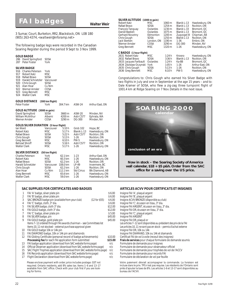# **FAI badges Walter Weir**

3 Sumac Court, Burketon, RR2, Blackstock, ON L0B 1B0 (905) 263-4374, *<waltweir@inforamp.net>*

| 286 David Springford SOSA |      |  |
|---------------------------|------|--|
| 287 Peter Foster          | York |  |
|                           |      |  |

#### *SILVER BADGE*

| 916<br><b>Charles Peterson</b><br>917<br>Robert Katz<br>918<br>Rafael Bravo<br>919<br><b>Harald Schnetzler</b><br>920<br>Chris Gough<br>Alan Hoar<br>921<br>922<br><b>Werner Amsler</b><br>923<br>Greg Bennett<br>924<br><b>Walter Clark</b> | York<br><b>MSC</b><br>SOSA<br>Vancouver<br>SOSA<br>Cu Nim<br>COSA<br>MSC<br><b>MSC</b> |          |             |                 |  |
|----------------------------------------------------------------------------------------------------------------------------------------------------------------------------------------------------------------------------------------------|----------------------------------------------------------------------------------------|----------|-------------|-----------------|--|
| GOLD DISTANCE                                                                                                                                                                                                                                | (300 km flight)                                                                        |          |             |                 |  |
| Peter Foster                                                                                                                                                                                                                                 | York                                                                                   | 304.7 km | ASW-24      | Arthur East, ON |  |
| GOLD ALTITUDE (3000 m gain)                                                                                                                                                                                                                  |                                                                                        |          |             |                 |  |
| David Springford                                                                                                                                                                                                                             | SOSA                                                                                   | 3660 m   | ASW-20      | Minden, NV      |  |
| William McArthur                                                                                                                                                                                                                             | Alberni                                                                                | 4200 m   | Astir CS77  | Ephrata, WA     |  |
| Werner Amsler                                                                                                                                                                                                                                | COSA                                                                                   | 3290 m   | DG-300      | Minden, NV      |  |
| <b>GOLD/SILVER DURATION (5 hour flight)</b>                                                                                                                                                                                                  |                                                                                        |          |             |                 |  |
| lan Ward                                                                                                                                                                                                                                     | Vancouver                                                                              | 5:10h    | Grob 102    | Hope, BC        |  |
| Robert Katz                                                                                                                                                                                                                                  | <b>MSC</b>                                                                             | 5:17h    | Blanik L-13 | Hawkesbury, ON  |  |
| Rafael Bravo                                                                                                                                                                                                                                 | SOSA                                                                                   | 5:22h    | Astir CS77  | Rockton, ON     |  |
| Chris Gough                                                                                                                                                                                                                                  | SOSA                                                                                   | 5:13h    | $1-26$      | Rockton, ON     |  |
| <b>Greg Bennett</b>                                                                                                                                                                                                                          | <b>MSC</b>                                                                             | 6:10h    | PW-5        | Hawkesbury, ON  |  |
| <b>Behzad Shroff</b>                                                                                                                                                                                                                         | <b>SOSA</b>                                                                            | 5:16h    | Astir CS77  | Rockton, ON     |  |
| <b>Walter Clark</b>                                                                                                                                                                                                                          | MSC                                                                                    | 5:17h    | $1-26$      | Hawkesbury, ON  |  |

| SILVER DISTANCE   | (50 km flight) |          |                   |                        |
|-------------------|----------------|----------|-------------------|------------------------|
| Charles Peterson  | York           | 62.1 km  | $1 - 23$          | Arthur East, ON        |
| Robert Katz       | MSC.           | 60.3 km  | $1 - 26$          | Hawkesbury, ON         |
| Rafael Bravo      | <b>SOSA</b>    | 62.2 km  | $1 - 26$          | Rockton, ON            |
| Harald Schnetzler | Vancouver      | 108.0 km | $LP-49$           | Invermere, BC          |
| Chris Gough       | <b>SOSA</b>    | 62.2 km  | $1 - 26$          | Rockton, ON            |
| Alan Hoar         | Cu Nim         | 112.1 km | <b>Std Cirrus</b> | <b>Blk Diamond, AB</b> |
| Greg Bennett      | <b>MSC</b>     | 65.6 km  | $1 - 26$          | Hawkesbury, ON         |
| Walter Clark      | <b>MSC</b>     | 59.0 km  | $1-26$            | Hawkesbury, ON         |

#### **SAC SUPPLIES FOR CERTIFICATES AND BADGES ARTICLES ACVV POUR CERTIFICATS ET INSIGNES**

Please enclose payment with order; price includes postage. GST not required. Ontario residents, add 8% sales tax. Items 1–6 and 13–17 available from SAC office. Check with your club first if you are look-1 FAI 'A' badge, silver plate pin  $\frac{1}{2}$  FAI 'B' badge, silver plate pin <sup>2</sup> FAI 'B' badge, silver plate pin the limit of product and the state of the state of the state pin (12 for \$55)<br>2 SAC BRONZE badge pin *(available from your club)* (12 for \$55) \$ 6.00 Insigne ACVV BRONZE *(disponible au* \$ SAC BRONZE badge pin *(available from your club)* (12 for \$55) \$ 6.00 FAI 'C' badge, cloth, 3" dia. 4 FAI 'C' badge, cloth, 3" dia. \$ 6.00 Insigne FAI 'C', écusson en tissu, 3" dia. 5 FAI SILVER badge, cloth 3" dia. \$12.00 Insigne FAI ARGENT, écusson en tissu, 3" dia. 6 FAI GOLD badge, cloth 3" dia.<br>
7 FAI 'C' badge, silver plate pin the state of the state of the state of the state of the state of the state o<br>
10. Subset of the state of the state of the state of the state of the state o 7 FAI 'C' badge, silver plate pin the state of the state of the state of the state of the state of the state o<br>18 FAI SILVER badge, pin the state of the state of the state of the state of the state of the state of the sta FAI SILVER badge, pin and the state of the state of the state of the state of the state of the state of the state of the state of the state of the SAI GCLD badge or FAI GCLD badge or the state of the state of the state of 9 FAI GOLD badge, gold plate pin<br>Items 7–12 ordered through FAI awards chairman – see Committees list Les articles 7–12 sont disponibles au président des prix de la FAI *Items 7–12 ordered through FAI awards chairman – see Committees list Items 10, 11 not stocked – external purchase approval given* 10 FAI GOLD badge 10k or 14k pin United States of Texas and Texas of Texas insigne FAI OR, 10k ou 14k or 14k or<br>11 FAI DIAMOND badge, 10k or 14k pin and diamonds the states of the Insigne FAI DIAMAND, 10k ou 14k et diamand 11 FAI DIAMOND badge, 10k or 14k pin and diamonds<br>12 FAI Gliding Certificate (personal record of badge achievements) \$10.00 Certificat FAI de vol à voile (receuil des insignes) 12 FAI Gliding Certificate (personal record of badge achievements) \$10.00<br>Processing fee for each FAI application form submitted \$15.00 13 FAI badge application *(download from SAC website forms page)* n/c Formulaire de demande pour insignes 14 Official Observer application *(download from SAC website forms page)* n/c Formulaire de demande pour observateur officiel 15 SAC Flight Trophies application *(download from SAC website forms page)* n/c<br>16 FAI Records application *(download from SAC website forms page)* n/c<br>16 FAI Records application *(download from SAC website forms page)* n/ 16 FAI Records application *(download from SAC website forms page)* n/c Formulaire de demande pour records FAI Flight Declaration *(download from SAC website forms page)* n/c Formulaire de déclaration de vol par feuille 17 Flight Declaration *(download from SAC website forms page)* 

The following badge legs were recorded in the Canadian Soaring Register during the period 9 Sept to 3 Nov 1999.

#### *GOLD BADGE*

| ILVER BADGE                    |             |
|--------------------------------|-------------|
| 16 Charles Peterson            | York        |
| 17   Robert Katz               | <b>MSC</b>  |
| 18 Rafael Bravo                | <b>SOSA</b> |
| 19 Harald Schnetzler Vancouver |             |
| 20 Chris Gough                 | SOSA        |
| 21 Alan Hoar                   | Cu Nim      |
| 22 Western American            | 0000        |

|                                                                 | Now in stock – the Soaring Society of Am<br>wall calendar, \$18 + \$5 p&h. Order from th<br>office for a saving over the US price. |
|-----------------------------------------------------------------|------------------------------------------------------------------------------------------------------------------------------------|
|                                                                 |                                                                                                                                    |
|                                                                 |                                                                                                                                    |
|                                                                 | ARTICLES ACVV POUR CERTIFICATS ET INSIGNES                                                                                         |
| Insigne FAI 'A', plaqué argent<br>Insigne EAL 'R' plagué argent |                                                                                                                                    |

Votre paiement dévrait accompagner la commande. La livraison est *Les articles 10, 11 ne sont pas en stock – permis d'achat externe*<br>Insigne FAI OR, 10k ou 14k **15.00 Frais de services** pour chaque formulaire de demande soumis<br>n/c Formulaire de demande pour insignes

incluse dans le prix. TPS n'est pas requise. Les résidents de l'Ontario sont priés d'ajouter la taxe de 8%. Les articles 1-6 et 13-17 sont disponibles au bureau de l'ACVV.

*SILVER ALTITUDE (1000 m gain)*

| Robert Katz             | <b>MSC</b>  | $1060 \,\mathrm{m}$ | Blanik L-13  | Hawkesbury, ON  |  |  |
|-------------------------|-------------|---------------------|--------------|-----------------|--|--|
| Rafael Bravo            | SOSA        | 1254 m              | Blanik L-13  | Rockton, ON     |  |  |
| Francois Tanguay        | Outardes    | $1230 \,\mathrm{m}$ | Blanik L-33  | Bromont, QC     |  |  |
| Daniel Bastien          | Outardes    | 1075 m              | Blanik L-13  | Bromont, QC     |  |  |
| Gerhard Novotny         | Edmonton    | $1200 \,\mathrm{m}$ | Zugvogel III | Chipman, AB     |  |  |
| Chris Gough             | <b>SOSA</b> | $1250 \,\mathrm{m}$ | Blanik L-13  | Rockton, ON     |  |  |
| Jack Sterken            | London, ON  | 1190 m              | $1 - 36$     | Embro, ON       |  |  |
| Werner Amsler           | COSA        | $3290 \,\mathrm{m}$ | DG-300       | Minden, NV      |  |  |
| Greg Bennett            | MSC         | 1320 m              | $1-26$       | Hawkesbury, ON  |  |  |
| C BADGE (1 hour flight) |             |                     |              |                 |  |  |
| 2631 Robert Katz        | <b>MSC</b>  | 1:24 h              | Krosno       | Hawkesbury, ON  |  |  |
| 2632 Rafael Bravo       | <b>SOSA</b> | 3:36h               | Blanik L-13  | Rockton, ON     |  |  |
| 2633 Jacques Faribault  | Outardes    | 1:24 h              | Ka-8B        | Bromont, QC     |  |  |
| 2634 Zdzislaw Oczynski  | York        | 1:05h               | $1-26$       | Arthur East, ON |  |  |
| 2635 Chris Gough        | SOSA        | 5:13h               | $1-26$       | Rockton, ON     |  |  |
| 2636 Greg Bennett       | <b>MSC</b>  | 6:10h               | <b>PW-5</b>  | Hawkesbury, ON  |  |  |
|                         |             |                     |              |                 |  |  |

*Congratulations to:* Chris Gough who earned his Silver Badge with two flights in July and one in September at the age 15 years – *and to:* Dale Kramer of SOSA, who flew a zig-zag three turnpoint flight of 1001.4 km at Ridge Soaring on 7 Nov. Details in the next issue.



ing for forms.

m the SAC<br>rice.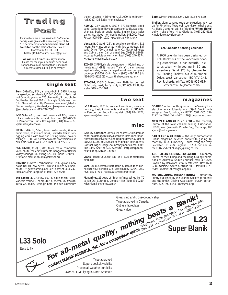



Personal ads are a free service to SAC members (please give me the name of your club). \$10 per insertion for nonmembers. **Send ad to editor**, not the national office, Box 1916, Claresholm, AB T0L 0T0 tel/fax (403) 625-4563, *free-flt@agt.net*

**Ad will run 3 times** unless you renew. Please tell me if your item has been sold sooner. Maximum ad length is 6 lines and subject to some editing as necessary.

#### **single seat**

**Tern**, C-GWKW, 845h, amateur-built in 1978. Always hangared, no accidents, L/D 34:1 @ 54 kts. Basic inst incl Cambridge audio, 720 chan radio, Strong chute. Encl trailer. Several 300 km triangle flights less than 5 hr. More info at *<http://www.accolade.ca/glider/>*. Owner: Wolfgang Weichert, call: Juergen at *<juergen @accolade.ca>* or (613) 746-7685.

**L-33 Solo**, 40 h, basic instruments, all ADs, beautiful ship (white with red and blue trim). \$US 20,500. In Pemberton. Rudy Rozsypalek (604) 894-5727, *<pemsoar@direct.ca>*

**HP16**, C-GAUZ, 534h, basic instruments, Winter audio vario, Tost winch hook, Schreder trailer, selfrigging equip with tow bar & wing wheel, covers. asking \$15,000. All parts for a motor conversion also available, \$2000. Willi Deleurant (416) 755-0359.

**Std. Libelle**, CF-QJS, #86, 862h, radio, computer/ vario, chute, trailer instruments, hangared at Beaver Valley Soaring Club. Asking \$22,000. Phone (519) 599- 6749 or e-mail *<ruthumm@bmts.com>*

**PIK20Bc**, C–GXWD, carbon fibre, 820h, vg cond, new paint, Ball 400 c/w netto & cruise, Edoaire 720 radio, chute, O2, gear warning. Call Lee Coates at (403) 242- 3056 or Denis Bergeron at (403) 526-4560.

**Std Jantar 2**, C-GFBO, 600TT, Sage mech. vario, Varicalc Vario/FG computer, G-meter, O2 system, Terra 720 radio. Replogle baro. Minden aluminum trailer. Located in Edmonton. \$31,000. John Broomhall, (780) 438-3268 *<john@cips.ca>*

**ASW 20**, C-FNVQ, ndh, 1160 h, 372 launches, good cond. Cambridge Nav director/vario/audio. Sage mechanical, back-up audio, radio, Smiley bags, solar panel, O2. Good homebuilt trailer. \$43,000. Peter Foster (905) 584-1920 *<pede.foster@ibm.net>*

**Ventus B**, C-GVRS "26", in excellent condition, 812 hours. Fully instrumented with Ilec computer, Ball vario, Dittel 720 channel radio, O2, Masak winglets and Cobra trailer. Call or e-mail Lee (403) 242-3056, *<coatesl@cadvision.com>* or Rod (403) 240-4374, *<crutcher@med.ucalgary.ca>*

**SZD-55**, C-FTVS, single owner, new in '96, full instruments (excl. GPS), rugged Trailcraft trailer, always kept in trailer, never damaged. Avail now, complete package \$70,000, Colin Bantin (905) 469-1980 (H), (416) 543-9222 (B) *<ccbantin@globalserve.net>*

**SZD-55-1**, C-GENQ, brand new 1999, factory test flight only, ready to fly, only \$US41,000. Ed Hollestelle (519) 461-1464.

#### **two seat**

**L-13 Blanik**, 2800 h, excellent condition, new upholstery, basic instruments and radio. \$US15,000. In Pemberton. Rudy Rozsypalek (604) 894-5727, *<pemsoar@direct.ca>*

#### **misc**

**SZD-55**, **half share** (or two 1/4 shares), 250h, immac cond, no damage history. Extensive instrumentation, clamshell trailer, chute, and rigging device. Glider at SOSA. \$32,000 or \$35,000 depending on instruments. Contact Nigel *<nigel.holmes@sympatico.ca>* (905) 387-1355. See the SZD website, *<http://csrp.tamu. edu/Soaring/SZD.55-1.html>*

**Chute**, Pioneer 26', \$250. (519) 354 - 8123 or *<pstrapp@ mnsi.net>*

**Baro**, EW-B electronic barograph & data logger, connects to your portable GPS. Steve Burany (SOSA). \$550 (905) 889-5779 or *<steve.burany@utoronto.ca>*

**Magazines**, 25 years of "Soaring" magazines (Jul 70 to Jan 96). \$150 obo. Dennis Miller (403) 236-9219, *<dennis.miller@home.com >*

**Baro**, Winter, smoke, \$200. David (613) 678-6565.

**Trailer**, alum covered tube construction, now set up for PIK wings. Tows well, sound, some hail dents. At Black Diamond, AB. Self-rigging **"Wing Thing"** dolly. Make offers. Mike Glatiotis, (403) 282-6121 *<mglatiot@cadvision.com>*

#### *Y2K Canadian Soaring Calendar*

A 2000 calendar has been designed by Kalli Brinkhaus of the Vancouver Soaring Association. It has beautiful pictures taken while soaring in BC and elsewhere. Send \$25 by cheque to: "BC Soaring Society", c/o 2336 Marine Drive, West Vancouver, BC V7V 1K8. Ray Richards, ph/fax (604) 926-6354 *<rrichards6332@home. com>*

#### **magazines**

**SOARING** — the monthly journal of the Soaring Society of America. Subscriptions US\$43. Credit cards accepted. Box E, Hobbs, NM 88241-7504. (505) 392- 1177, fax 392-8154. *<74521.116@compuserve.com>*

**NEW ZEALAND GLIDING KIWI** — the monthly journal of the New Zealand Gliding Association. US\$32/year (seamail). Private Bag, Tauranga, NZ. *<john@roake.gen.nz>*

**SAILPLANE & GLIDING** - the only authoritative British magazine devoted entirely to gliding. Bi-monthly. BGA, Kimberley House, Vaughan Way, Leicester, LE1 4SG, England. £17.50 per annum. fax 0116 251-5939 *<bga@gliding.co.uk>*

**AUSTRALIAN GLIDING / SKYSAILOR** — bimonthly journal of the Gliding and the Hang Gliding Federations of Australia. \$A40.50 surface mail, air \$A55. Payable by Bankcard, Visa, Mastercard. Box 1650, GPO, Adelaide, South Australia 5001. fax (03) 9379- 5519. *<AdminOfficer@gfa.org.au>*

**MOTORGLIDING INTERNATIONAL** — bimonthly jointly published by the Soaring Society of America and the British Gliding Association. \$US34 per annum, (505) 392-8154. *<info@ssa.org>*